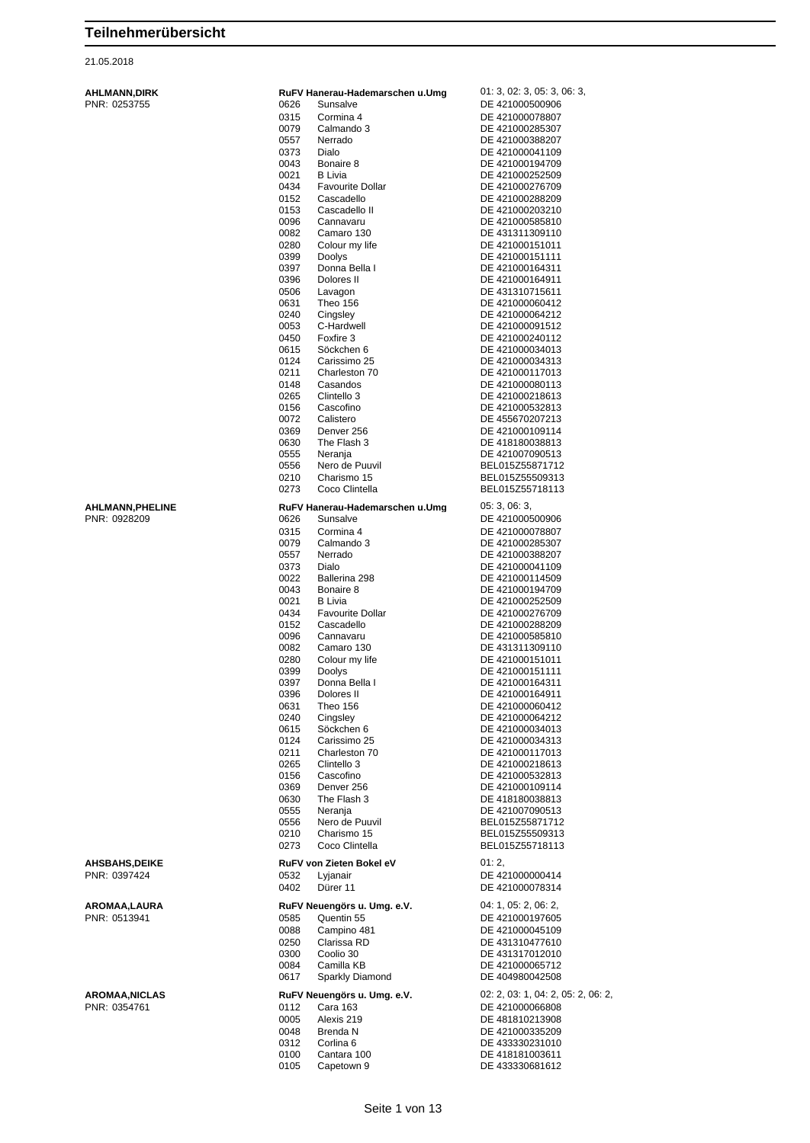| <b>AHLMANN, DIRK</b> |
|----------------------|
| PNR: 0253755         |

| AHLMANN,DIRK    |      | RuFV Hanerau-Hademarschen u.Umg | 01: 3, 02: 3, 05: 3, 06: 3,        |
|-----------------|------|---------------------------------|------------------------------------|
| PNR: 0253755    | 0626 | Sunsalve                        | DE 421000500906                    |
|                 |      |                                 |                                    |
|                 | 0315 | Cormina 4                       | DE 421000078807                    |
|                 | 0079 | Calmando 3                      | DE 421000285307                    |
|                 | 0557 | Nerrado                         | DE 421000388207                    |
|                 | 0373 | Dialo                           | DE 421000041109                    |
|                 | 0043 | Bonaire 8                       | DE 421000194709                    |
|                 |      |                                 |                                    |
|                 | 0021 | <b>B</b> Livia                  | DE 421000252509                    |
|                 | 0434 | <b>Favourite Dollar</b>         | DE 421000276709                    |
|                 | 0152 | Cascadello                      | DE 421000288209                    |
|                 | 0153 | Cascadello II                   | DE 421000203210                    |
|                 |      |                                 |                                    |
|                 | 0096 | Cannavaru                       | DE 421000585810                    |
|                 | 0082 | Camaro 130                      | DE 431311309110                    |
|                 | 0280 | Colour my life                  | DE 421000151011                    |
|                 | 0399 | Doolys                          | DE 421000151111                    |
|                 |      | Donna Bella I                   |                                    |
|                 | 0397 |                                 | DE 421000164311                    |
|                 | 0396 | Dolores II                      | DE 421000164911                    |
|                 | 0506 | Lavagon                         | DE 431310715611                    |
|                 | 0631 | Theo 156                        | DE 421000060412                    |
|                 | 0240 | Cingsley                        | DE 421000064212                    |
|                 |      |                                 |                                    |
|                 | 0053 | C-Hardwell                      | DE 421000091512                    |
|                 | 0450 | Foxfire 3                       | DE 421000240112                    |
|                 | 0615 | Söckchen 6                      | DE 421000034013                    |
|                 | 0124 | Carissimo 25                    | DE 421000034313                    |
|                 | 0211 | Charleston 70                   | DE 421000117013                    |
|                 |      |                                 |                                    |
|                 | 0148 | Casandos                        | DE 421000080113                    |
|                 | 0265 | Clintello 3                     | DE 421000218613                    |
|                 | 0156 | Cascofino                       | DE 421000532813                    |
|                 | 0072 | Calistero                       | DE 455670207213                    |
|                 |      |                                 |                                    |
|                 | 0369 | Denver 256                      | DE 421000109114                    |
|                 | 0630 | The Flash 3                     | DE 418180038813                    |
|                 | 0555 | Neranja                         | DE 421007090513                    |
|                 | 0556 | Nero de Puuvil                  | BEL015Z55871712                    |
|                 | 0210 | Charismo 15                     | BEL015Z55509313                    |
|                 |      |                                 |                                    |
|                 | 0273 | Coco Clintella                  | BEL015Z55718113                    |
| AHLMANN,PHELINE |      | RuFV Hanerau-Hademarschen u.Umg | 05:3,06:3,                         |
|                 |      |                                 |                                    |
| PNR: 0928209    | 0626 | Sunsalve                        | DE 421000500906                    |
|                 | 0315 | Cormina 4                       | DE 421000078807                    |
|                 | 0079 | Calmando 3                      | DE 421000285307                    |
|                 | 0557 | Nerrado                         | DE 421000388207                    |
|                 |      |                                 |                                    |
|                 | 0373 | Dialo                           | DE 421000041109                    |
|                 | 0022 | Ballerina 298                   | DE 421000114509                    |
|                 | 0043 | Bonaire 8                       | DE 421000194709                    |
|                 | 0021 | B Livia                         | DE 421000252509                    |
|                 |      |                                 |                                    |
|                 | 0434 | <b>Favourite Dollar</b>         | DE 421000276709                    |
|                 | 0152 | Cascadello                      | DE 421000288209                    |
|                 | 0096 | Cannavaru                       | DE 421000585810                    |
|                 | 0082 | Camaro 130                      | DE 431311309110                    |
|                 |      |                                 |                                    |
|                 | 0280 | Colour my life                  | DE 421000151011                    |
|                 | 0399 | Doolys                          | DE 421000151111                    |
|                 | 0397 | Donna Bella I                   | DE 421000164311                    |
|                 | 0396 | Dolores II                      | DE 421000164911                    |
|                 | 0631 | Theo 156                        | DE 421000060412                    |
|                 |      | Cingsley                        | DE 421000064212                    |
|                 | 0240 |                                 |                                    |
|                 | 0615 | Söckchen 6                      | DE 421000034013                    |
|                 | 0124 | Carissimo 25                    | DE 421000034313                    |
|                 | 0211 | Charleston 70                   | DE 421000117013                    |
|                 | 0265 | Clintello 3                     | DE 421000218613                    |
|                 |      | Cascofino                       |                                    |
|                 | 0156 |                                 | DE 421000532813                    |
|                 | 0369 | Denver 256                      | DE 421000109114                    |
|                 | 0630 | The Flash 3                     | DE 418180038813                    |
|                 | 0555 | Neranja                         | DE 421007090513                    |
|                 | 0556 | Nero de Puuvil                  | BEL015Z55871712                    |
|                 |      | Charismo 15                     |                                    |
|                 | 0210 |                                 | BEL015Z55509313                    |
|                 | 0273 | Coco Clintella                  | BEL015Z55718113                    |
|                 |      |                                 | 01:2,                              |
| AHSBAHS,DEIKE   |      | RuFV von Zieten Bokel eV        |                                    |
| PNR: 0397424    | 0532 | Lyjanair                        | DE 421000000414                    |
|                 | 0402 | Dürer 11                        | DE 421000078314                    |
|                 |      |                                 |                                    |
| AROMAA,LAURA    |      | RuFV Neuengörs u. Umg. e.V.     | 04: 1, 05: 2, 06: 2,               |
| PNR: 0513941    | 0585 | Quentin 55                      | DE 421000197605                    |
|                 |      |                                 |                                    |
|                 | 0088 | Campino 481                     | DE 421000045109                    |
|                 | 0250 | Clarissa RD                     | DE 431310477610                    |
|                 | 0300 | Coolio 30                       | DE 431317012010                    |
|                 | 0084 | Camilla KB                      | DE 421000065712                    |
|                 | 0617 | Sparkly Diamond                 | DE 404980042508                    |
|                 |      |                                 |                                    |
| AROMAA,NICLAS   |      | RuFV Neuengörs u. Umg. e.V.     | 02: 2, 03: 1, 04: 2, 05: 2, 06: 2, |
|                 |      |                                 |                                    |
| PNR: 0354761    | 0112 | Cara 163                        | DE 421000066808                    |
|                 | 0005 | Alexis 219                      | DE 481810213908                    |
|                 | 0048 | Brenda N                        | DE 421000335209                    |
|                 | 0312 | Corlina <sub>6</sub>            | DE 433330231010                    |
|                 |      |                                 |                                    |
|                 | 0100 | Cantara 100                     | DE 418181003611                    |
|                 | 0105 | Capetown 9                      | DE 433330681612                    |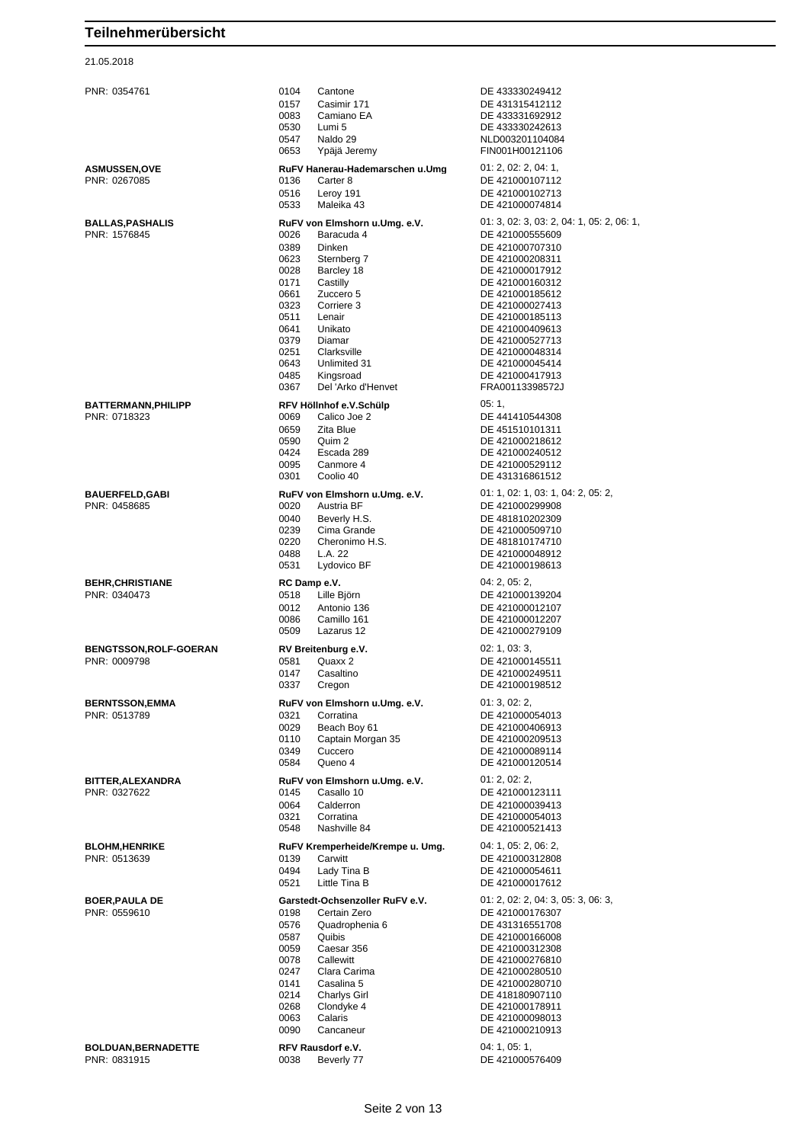| PNR: 0354761                                 | 0104<br>0157<br>0083<br>0530<br>0547<br>0653                                                                 | Cantone<br>Casimir 171<br>Camiano EA<br>Lumi 5<br>Naldo 29<br>Ypäjä Jeremy                                                                                                                                                 | DE 433330249412<br>DE 431315412112<br>DE 433331692912<br>DE 433330242613<br>NLD003201104084<br>FIN001H00121106                                                                                                                                                                                                     |
|----------------------------------------------|--------------------------------------------------------------------------------------------------------------|----------------------------------------------------------------------------------------------------------------------------------------------------------------------------------------------------------------------------|--------------------------------------------------------------------------------------------------------------------------------------------------------------------------------------------------------------------------------------------------------------------------------------------------------------------|
| <b>ASMUSSEN,OVE</b><br>PNR: 0267085          | 0136<br>0516<br>0533                                                                                         | RuFV Hanerau-Hademarschen u.Umg<br>Carter 8<br>Leroy 191<br>Maleika 43                                                                                                                                                     | 01: 2, 02: 2, 04: 1,<br>DE 421000107112<br>DE 421000102713<br>DE 421000074814                                                                                                                                                                                                                                      |
| <b>BALLAS, PASHALIS</b><br>PNR: 1576845      | 0026<br>0389<br>0623<br>0028<br>0171<br>0661<br>0323<br>0511<br>0641<br>0379<br>0251<br>0643<br>0485<br>0367 | RuFV von Elmshorn u.Umg. e.V.<br>Baracuda 4<br>Dinken<br>Sternberg 7<br>Barcley 18<br>Castilly<br>Zuccero 5<br>Corriere 3<br>Lenair<br>Unikato<br>Diamar<br>Clarksville<br>Unlimited 31<br>Kingsroad<br>Del 'Arko d'Henvet | 01: 3, 02: 3, 03: 2, 04: 1, 05: 2, 06: 1<br>DE 421000555609<br>DE 421000707310<br>DE 421000208311<br>DE 421000017912<br>DE 421000160312<br>DE 421000185612<br>DE 421000027413<br>DE 421000185113<br>DE 421000409613<br>DE 421000527713<br>DE 421000048314<br>DE 421000045414<br>DE 421000417913<br>FRA00113398572J |
| <b>BATTERMANN, PHILIPP</b><br>PNR: 0718323   | 0069<br>0659<br>0590<br>0424<br>0095<br>0301                                                                 | RFV Höllnhof e.V.Schülp<br>Calico Joe 2<br>Zita Blue<br>Quim 2<br>Escada 289<br>Canmore 4<br>Coolio 40                                                                                                                     | 05:1,<br>DE 441410544308<br>DE 451510101311<br>DE 421000218612<br>DE 421000240512<br>DE 421000529112<br>DE 431316861512                                                                                                                                                                                            |
| <b>BAUERFELD,GABI</b><br>PNR: 0458685        | 0020<br>0040<br>0239<br>0220<br>0488<br>0531                                                                 | RuFV von Elmshorn u.Umg. e.V.<br>Austria BF<br>Beverly H.S.<br>Cima Grande<br>Cheronimo H.S.<br>L.A. 22<br>Lydovico BF                                                                                                     | 01: 1, 02: 1, 03: 1, 04: 2, 05: 2,<br>DE 421000299908<br>DE 481810202309<br>DE 421000509710<br>DE 481810174710<br>DE 421000048912<br>DE 421000198613                                                                                                                                                               |
| <b>BEHR, CHRISTIANE</b><br>PNR: 0340473      | RC Damp e.V.<br>0518<br>0012<br>0086<br>0509                                                                 | Lille Björn<br>Antonio 136<br>Camillo 161<br>Lazarus 12                                                                                                                                                                    | 04: 2, 05: 2,<br>DE 421000139204<br>DE 421000012107<br>DE 421000012207<br>DE 421000279109                                                                                                                                                                                                                          |
| <b>BENGTSSON,ROLF-GOERAN</b><br>PNR: 0009798 | 0581<br>0147<br>0337                                                                                         | RV Breitenburg e.V.<br>Quaxx 2<br>Casaltino<br>Cregon                                                                                                                                                                      | 02: 1, 03: 3,<br>DE 421000145511<br>DE 421000249511<br>DE 421000198512                                                                                                                                                                                                                                             |
| <b>BERNTSSON, EMMA</b><br>PNR: 0513789       | 0321<br>0029<br>0110<br>0349<br>0584                                                                         | RuFV von Elmshorn u.Umg. e.V.<br>Corratina<br>Beach Boy 61<br>Captain Morgan 35<br>Cuccero<br>Queno 4                                                                                                                      | 01:3,02:2,<br>DE 421000054013<br>DE 421000406913<br>DE 421000209513<br>DE 421000089114<br>DE 421000120514                                                                                                                                                                                                          |
| BITTER, ALEXANDRA<br>PNR: 0327622            | 0145<br>0064<br>0321<br>0548                                                                                 | RuFV von Elmshorn u.Umg. e.V.<br>Casallo 10<br>Calderron<br>Corratina<br>Nashville 84                                                                                                                                      | 01: 2, 02: 2,<br>DE 421000123111<br>DE 421000039413<br>DE 421000054013<br>DE 421000521413                                                                                                                                                                                                                          |
| <b>BLOHM, HENRIKE</b><br>PNR: 0513639        | 0139<br>0494<br>0521                                                                                         | RuFV Kremperheide/Krempe u. Umg.<br>Carwitt<br>Lady Tina B<br>Little Tina B                                                                                                                                                | 04: 1, 05: 2, 06: 2,<br>DE 421000312808<br>DE 421000054611<br>DE 421000017612                                                                                                                                                                                                                                      |
| <b>BOER, PAULA DE</b><br>PNR: 0559610        | 0198<br>0576<br>0587<br>0059<br>0078<br>0247<br>0141<br>0214<br>0268<br>0063<br>0090                         | Garstedt-Ochsenzoller RuFV e.V.<br>Certain Zero<br>Quadrophenia 6<br>Quibis<br>Caesar 356<br>Callewitt<br>Clara Carima<br>Casalina 5<br><b>Charlys Girl</b><br>Clondyke 4<br>Calaris<br>Cancaneur                          | 01: 2, 02: 2, 04: 3, 05: 3, 06: 3,<br>DE 421000176307<br>DE 431316551708<br>DE 421000166008<br>DE 421000312308<br>DE 421000276810<br>DE 421000280510<br>DE 421000280710<br>DE 418180907110<br>DE 421000178911<br>DE 421000098013<br>DE 421000210913                                                                |
| <b>BOLDUAN, BERNADETTE</b><br>PNR: 0831915   | 0038                                                                                                         | RFV Rausdorf e.V.<br>Beverly 77                                                                                                                                                                                            | 04: 1, 05: 1,<br>DE 421000576409                                                                                                                                                                                                                                                                                   |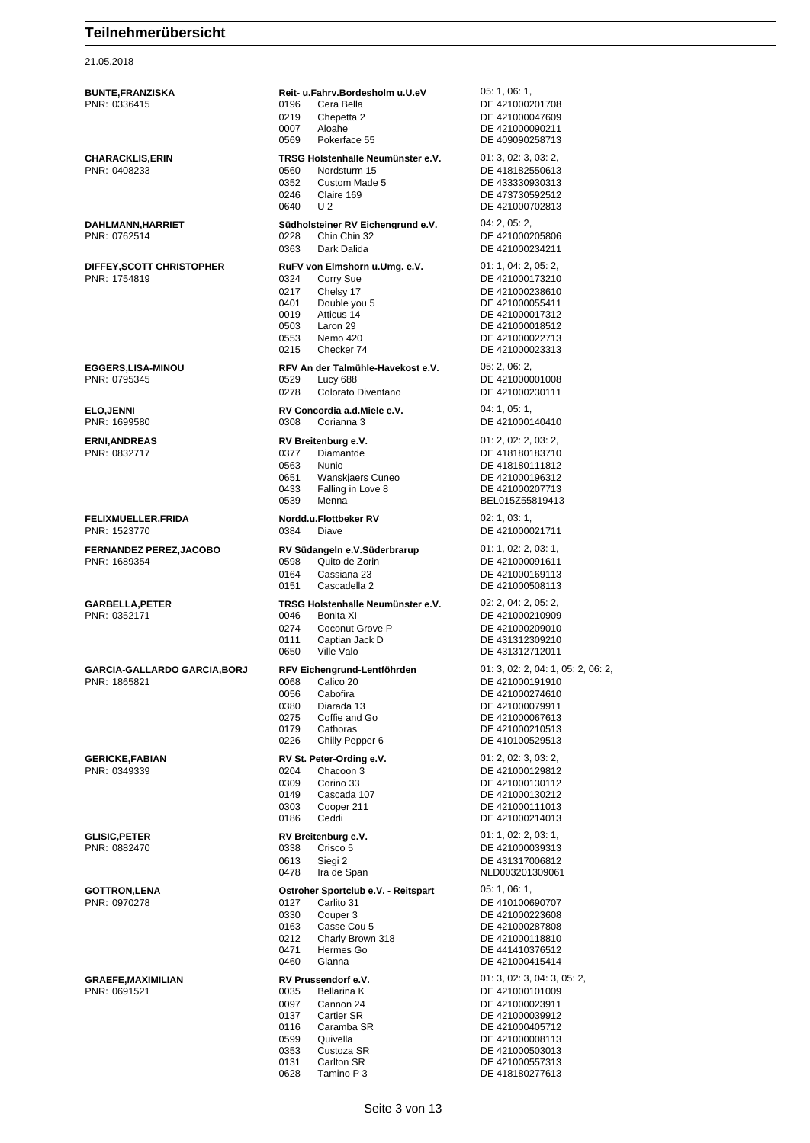| BUNTE,FRANZISKA                           |              | Reit- u.Fahrv.Bordesholm u.U.eV                | 05: 1, 06: 1,                           |
|-------------------------------------------|--------------|------------------------------------------------|-----------------------------------------|
| PNR: 0336415                              | 0196<br>0219 | Cera Bella                                     | DE 421000201708                         |
|                                           | 0007         | Chepetta 2<br>Aloahe                           | DE 421000047609<br>DE 421000090211      |
|                                           | 0569         | Pokerface 55                                   | DE 409090258713                         |
| CHARACKLIS,ERIN                           |              | TRSG Holstenhalle Neumünster e.V.              | 01: 3, 02: 3, 03: 2,                    |
| PNR: 0408233                              | 0560         | Nordsturm 15                                   | DE 418182550613                         |
|                                           | 0352         | Custom Made 5                                  | DE 433330930313                         |
|                                           | 0246         | Claire 169                                     | DE 473730592512                         |
|                                           | 0640         | U <sub>2</sub>                                 | DE 421000702813                         |
| DAHLMANN,HARRIET                          |              | Südholsteiner RV Eichengrund e.V.              | 04: 2, 05: 2,                           |
| PNR: 0762514                              | 0228         | Chin Chin 32                                   | DE 421000205806                         |
|                                           | 0363         | Dark Dalida                                    | DE 421000234211                         |
| DIFFEY,SCOTT CHRISTOPHER                  |              | RuFV von Elmshorn u.Umg. e.V.                  | 01: 1, 04: 2, 05: 2,                    |
| PNR: 1754819                              | 0324         | Corry Sue                                      | DE 421000173210                         |
|                                           | 0217         | Chelsy 17                                      | DE 421000238610                         |
|                                           | 0401         | Double you 5                                   | DE 421000055411                         |
|                                           | 0019         | Atticus 14                                     | DE 421000017312                         |
|                                           | 0503<br>0553 | Laron 29<br>Nemo 420                           | DE 421000018512<br>DE 421000022713      |
|                                           | 0215         | Checker 74                                     | DE 421000023313                         |
|                                           |              | RFV An der Talmühle-Havekost e.V.              |                                         |
| EGGERS,LISA-MINOU<br>PNR: 0795345         | 0529         | Lucy 688                                       | 05: 2, 06: 2,<br>DE 421000001008        |
|                                           | 0278         | Colorato Diventano                             | DE 421000230111                         |
|                                           |              |                                                |                                         |
| <b>ELO,JENNI</b><br>PNR: 1699580          | 0308         | RV Concordia a.d. Miele e.V.<br>Corianna 3     | 04:1,05:1,<br>DE 421000140410           |
|                                           |              |                                                |                                         |
| <b>ERNI,ANDREAS</b>                       |              | RV Breitenburg e.V.                            | 01: 2, 02: 2, 03: 2,                    |
| PNR: 0832717                              | 0377         | Diamantde                                      | DE 418180183710                         |
|                                           | 0563         | Nunio                                          | DE 418180111812                         |
|                                           | 0651<br>0433 | Wanskjaers Cuneo<br>Falling in Love 8          | DE 421000196312<br>DE 421000207713      |
|                                           | 0539         | Menna                                          | BEL015Z55819413                         |
|                                           |              |                                                | 02: 1, 03: 1,                           |
| <b>FELIXMUELLER,FRIDA</b><br>PNR: 1523770 | 0384         | Nordd.u.Flottbeker RV<br>Diave                 | DE 421000021711                         |
|                                           |              |                                                |                                         |
| <b>FERNANDEZ PEREZ,JACOBO</b>             |              | RV Südangeln e.V.Süderbrarup                   | 01: 1, 02: 2, 03: 1,                    |
| PNR: 1689354                              | 0598<br>0164 | Quito de Zorin                                 | DE 421000091611                         |
|                                           | 0151         | Cassiana 23<br>Cascadella 2                    | DE 421000169113<br>DE 421000508113      |
|                                           |              |                                                |                                         |
| GARBELLA,PETER<br>PNR: 0352171            | 0046         | TRSG Holstenhalle Neumünster e.V.<br>Bonita XI | 02: 2, 04: 2, 05: 2,<br>DE 421000210909 |
|                                           | 0274         | Coconut Grove P                                | DE 421000209010                         |
|                                           | 0111         | Captian Jack D                                 | DE 431312309210                         |
|                                           | 0650         | Ville Valo                                     | DE 431312712011                         |
| GARCIA-GALLARDO GARCIA,BORJ               |              | RFV Eichengrund-Lentföhrden                    | 01: 3, 02: 2, 04: 1, 05: 2, 06: 2,      |
| PNR: 1865821                              | 0068         | Calico 20                                      | DE 421000191910                         |
|                                           | 0056         | Cabofira                                       | DE 421000274610                         |
|                                           | 0380         | Diarada 13                                     | DE 421000079911                         |
|                                           | 0275         | Coffie and Go                                  | DE 421000067613                         |
|                                           | 0179         | Cathoras                                       | DE 421000210513                         |
|                                           | 0226         | Chilly Pepper 6                                | DE 410100529513                         |
| <b>GERICKE,FABIAN</b>                     |              | RV St. Peter-Ording e.V.                       | 01: 2, 02: 3, 03: 2,                    |
| PNR: 0349339                              | 0204         | Chacoon 3                                      | DE 421000129812                         |
|                                           | 0309<br>0149 | Corino 33<br>Cascada 107                       | DE 421000130112<br>DE 421000130212      |
|                                           | 0303         | Cooper 211                                     | DE 421000111013                         |
|                                           | 0186         | Ceddi                                          | DE 421000214013                         |
| <b>GLISIC,PETER</b>                       |              | RV Breitenburg e.V.                            | 01: 1, 02: 2, 03: 1,                    |
| PNR: 0882470                              | 0338         | Crisco 5                                       | DE 421000039313                         |
|                                           | 0613         | Siegi 2                                        | DE 431317006812                         |
|                                           | 0478         | Ira de Span                                    | NLD003201309061                         |
| <b>GOTTRON,LENA</b>                       |              | Ostroher Sportclub e.V. - Reitspart            | 05: 1, 06: 1,                           |
| PNR: 0970278                              | 0127         | Carlito 31                                     | DE 410100690707                         |
|                                           | 0330         | Couper 3                                       | DE 421000223608                         |
|                                           | 0163         | Casse Cou 5                                    | DE 421000287808                         |
|                                           | 0212         | Charly Brown 318                               | DE 421000118810                         |
|                                           | 0471         | Hermes Go                                      | DE 441410376512                         |
|                                           | 0460         | Gianna                                         | DE 421000415414                         |
| <b>GRAEFE,MAXIMILIAN</b>                  |              | RV Prussendorf e.V.                            | 01: 3, 02: 3, 04: 3, 05: 2,             |
| PNR: 0691521                              | 0035         | <b>Bellarina K</b>                             | DE 421000101009                         |
|                                           | 0097         | Cannon 24                                      | DE 421000023911                         |
|                                           | 0137<br>0116 | Cartier SR<br>Caramba SR                       | DE 421000039912<br>DE 421000405712      |
|                                           | 0599         | Quivella                                       | DE 421000008113                         |
|                                           | 0353         | Custoza SR                                     | DE 421000503013                         |
|                                           | 0131         | Carlton SR                                     | DE 421000557313                         |
|                                           | 0628         | Tamino P 3                                     | DE 418180277613                         |
|                                           |              |                                                |                                         |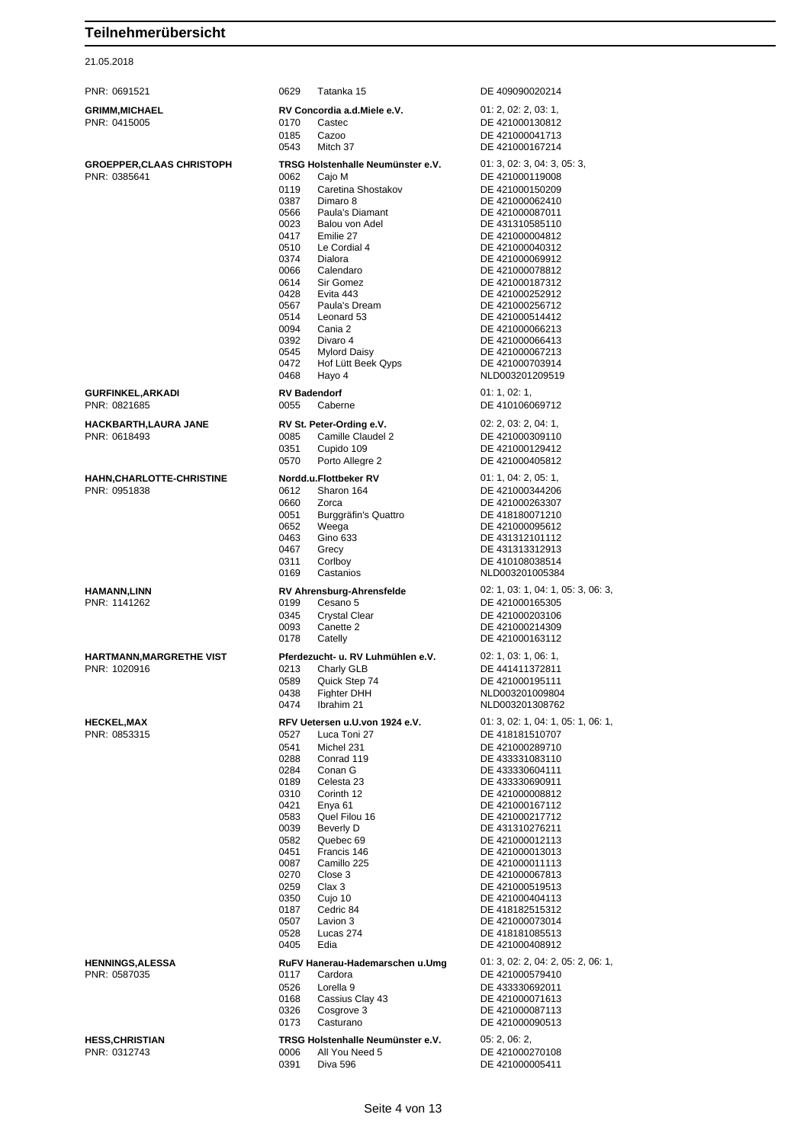| PNR: 0691521                    | 0629         | Tatanka 15                          | DE 409090020214                    |
|---------------------------------|--------------|-------------------------------------|------------------------------------|
| GRIMM,MICHAEL                   |              | RV Concordia a.d. Miele e.V.        | 01: 2, 02: 2, 03: 1,               |
| PNR: 0415005                    | 0170         | Castec                              | DE 421000130812                    |
|                                 | 0185         | Cazoo                               | DE 421000041713                    |
|                                 | 0543         | Mitch 37                            | DE 421000167214                    |
| <b>GROEPPER,CLAAS CHRISTOPH</b> |              | TRSG Holstenhalle Neumünster e.V.   | 01: 3, 02: 3, 04: 3, 05: 3,        |
| PNR: 0385641                    | 0062         | Cajo M                              | DE 421000119008                    |
|                                 | 0119         | Caretina Shostakov                  | DE 421000150209                    |
|                                 | 0387<br>0566 | Dimaro 8<br>Paula's Diamant         | DE 421000062410<br>DE 421000087011 |
|                                 | 0023         | Balou von Adel                      | DE 431310585110                    |
|                                 | 0417         | Emilie 27                           | DE 421000004812                    |
|                                 | 0510         | Le Cordial 4                        | DE 421000040312                    |
|                                 | 0374         | Dialora                             | DE 421000069912<br>DE 421000078812 |
|                                 | 0066<br>0614 | Calendaro<br>Sir Gomez              | DE 421000187312                    |
|                                 | 0428         | Evita 443                           | DE 421000252912                    |
|                                 | 0567         | Paula's Dream                       | DE 421000256712                    |
|                                 | 0514         | Leonard 53                          | DE 421000514412                    |
|                                 | 0094<br>0392 | Cania 2<br>Divaro 4                 | DE 421000066213<br>DE 421000066413 |
|                                 | 0545         | <b>Mylord Daisy</b>                 | DE 421000067213                    |
|                                 | 0472         | Hof Lütt Beek Qyps                  | DE 421000703914                    |
|                                 | 0468         | Hayo 4                              | NLD003201209519                    |
| GURFINKEL,ARKADI                |              | <b>RV Badendorf</b>                 | 01: 1, 02: 1,                      |
| PNR: 0821685                    | 0055         | Caberne                             | DE 410106069712                    |
| HACKBARTH,LAURA JANE            |              | RV St. Peter-Ording e.V.            | 02: 2, 03: 2, 04: 1,               |
| PNR: 0618493                    | 0085         | Camille Claudel 2                   | DE 421000309110                    |
|                                 | 0351         | Cupido 109                          | DE 421000129412                    |
|                                 | 0570         | Porto Allegre 2                     | DE 421000405812                    |
| HAHN,CHARLOTTE-CHRISTINE        |              | Nordd.u.Flottbeker RV               | 01: 1, 04: 2, 05: 1,               |
| PNR: 0951838                    | 0612         | Sharon 164                          | DE 421000344206                    |
|                                 | 0660<br>0051 | Zorca<br>Burggräfin's Quattro       | DE 421000263307<br>DE 418180071210 |
|                                 | 0652         | Weega                               | DE 421000095612                    |
|                                 | 0463         | Gino 633                            | DE 431312101112                    |
|                                 | 0467<br>0311 | Grecy                               | DE 431313312913                    |
|                                 | 0169         | Corlboy<br>Castanios                | DE 410108038514<br>NLD003201005384 |
| HAMANN,LINN                     |              | <b>RV Ahrensburg-Ahrensfelde</b>    | 02: 1, 03: 1, 04: 1, 05: 3, 06: 3, |
| PNR: 1141262                    | 0199         | Cesano 5                            | DE 421000165305                    |
|                                 | 0345         | <b>Crystal Clear</b>                | DE 421000203106                    |
|                                 | 0093         | Canette 2                           | DE 421000214309                    |
|                                 | 0178         | Catelly                             | DE 421000163112                    |
| HARTMANN,MARGRETHE VIST         |              | Pferdezucht- u. RV Luhmühlen e.V.   | 02: 1, 03: 1, 06: 1,               |
| PNR: 1020916                    | 0213         | Charly GLB                          | DE 441411372811                    |
|                                 | 0589<br>0438 | Quick Step 74<br><b>Fighter DHH</b> | DE 421000195111<br>NLD003201009804 |
|                                 | 0474         | Ibrahim 21                          | NLD003201308762                    |
| <b>HECKEL,MAX</b>               |              | RFV Uetersen u.U.von 1924 e.V.      | 01: 3, 02: 1, 04: 1, 05: 1, 06: 1, |
| PNR: 0853315                    | 0527         | Luca Toni 27                        | DE 418181510707                    |
|                                 | 0541         | Michel 231                          | DE 421000289710                    |
|                                 | 0288         | Conrad 119                          | DE 433331083110                    |
|                                 | 0284<br>0189 | Conan G<br>Celesta 23               | DE 433330604111<br>DE 433330690911 |
|                                 | 0310         | Corinth 12                          | DE 421000008812                    |
|                                 | 0421         | Enya 61                             | DE 421000167112                    |
|                                 | 0583         | Quel Filou 16                       | DE 421000217712                    |
|                                 | 0039<br>0582 | Beverly D<br>Quebec 69              | DE 431310276211<br>DE 421000012113 |
|                                 | 0451         | Francis 146                         | DE 421000013013                    |
|                                 | 0087         | Camillo 225                         | DE 421000011113                    |
|                                 | 0270         | Close 3                             | DE 421000067813                    |
|                                 | 0259<br>0350 | Clax 3<br>Cujo 10                   | DE 421000519513<br>DE 421000404113 |
|                                 | 0187         | Cedric 84                           | DE 418182515312                    |
|                                 | 0507         | Lavion 3                            | DE 421000073014                    |
|                                 | 0528         | Lucas 274                           | DE 418181085513                    |
|                                 | 0405         | Edia                                | DE 421000408912                    |
| <b>HENNINGS,ALESSA</b>          |              | RuFV Hanerau-Hademarschen u.Umg     | 01: 3, 02: 2, 04: 2, 05: 2, 06: 1, |
| PNR: 0587035                    | 0117<br>0526 | Cardora<br>Lorella 9                | DE 421000579410<br>DE 433330692011 |
|                                 | 0168         | Cassius Clay 43                     | DE 421000071613                    |
|                                 | 0326         | Cosgrove 3                          | DE 421000087113                    |
|                                 | 0173         | Casturano                           | DE 421000090513                    |
| HESS,CHRISTIAN                  |              | TRSG Holstenhalle Neumünster e.V.   | 05: 2, 06: 2,                      |
| PNR: 0312743                    | 0006         | All You Need 5                      | DE 421000270108                    |
|                                 | 0391         | Diva 596                            | DE 421000005411                    |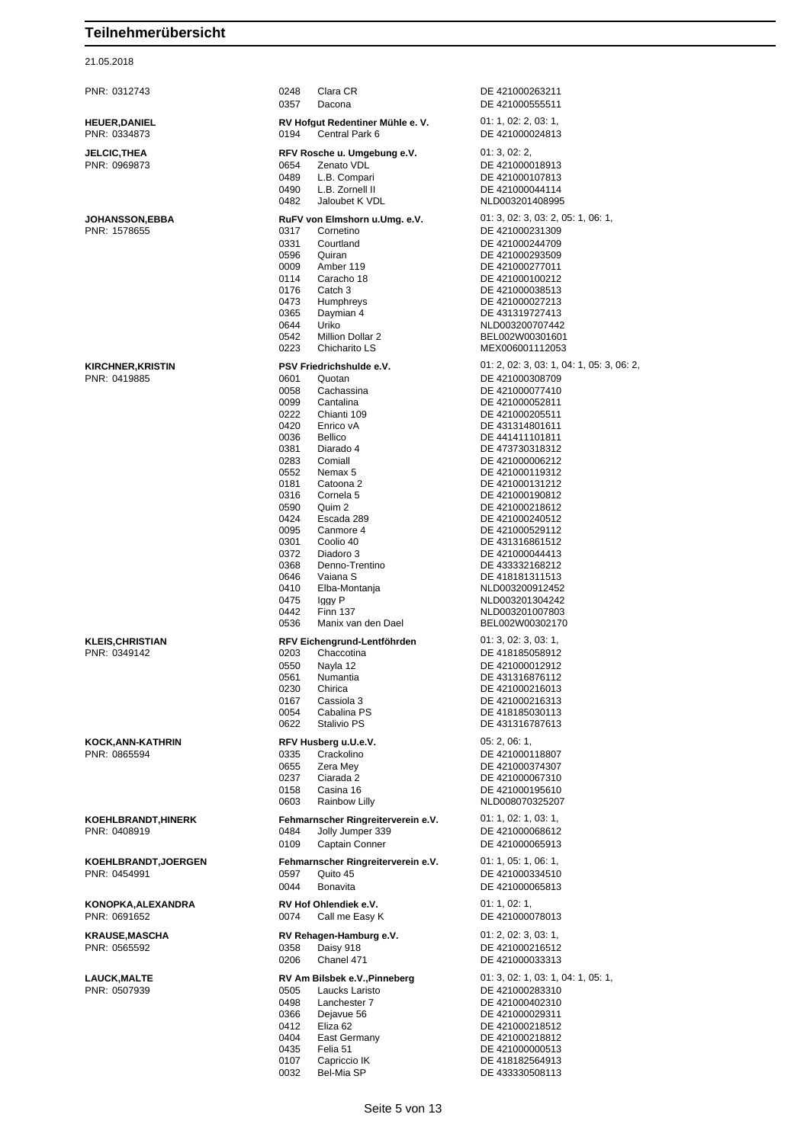| PNR: 0312743                               | 0248<br>Clara CR<br>0357<br>Dacona                                                                                                                                                                                                                                                                                                                                                                                                                                                                                        | DE 421000263211<br>DE 421000555511                                                                                                                                                                                                                                                                                                                                                                                                                                          |
|--------------------------------------------|---------------------------------------------------------------------------------------------------------------------------------------------------------------------------------------------------------------------------------------------------------------------------------------------------------------------------------------------------------------------------------------------------------------------------------------------------------------------------------------------------------------------------|-----------------------------------------------------------------------------------------------------------------------------------------------------------------------------------------------------------------------------------------------------------------------------------------------------------------------------------------------------------------------------------------------------------------------------------------------------------------------------|
| <b>HEUER,DANIEL</b><br>PNR: 0334873        | RV Hofgut Redentiner Mühle e. V.<br>Central Park 6<br>0194                                                                                                                                                                                                                                                                                                                                                                                                                                                                | 01: 1, 02: 2, 03: 1,<br>DE 421000024813                                                                                                                                                                                                                                                                                                                                                                                                                                     |
| <b>JELCIC,THEA</b><br>PNR: 0969873         | RFV Rosche u. Umgebung e.V.<br>0654<br>Zenato VDL<br>0489<br>L.B. Compari<br>0490<br>L.B. Zornell II<br>0482<br>Jaloubet K VDL                                                                                                                                                                                                                                                                                                                                                                                            | 01:3,02:2,<br>DE 421000018913<br>DE 421000107813<br>DE 421000044114<br>NLD003201408995                                                                                                                                                                                                                                                                                                                                                                                      |
| JOHANSSON,EBBA<br>PNR: 1578655             | RuFV von Elmshorn u.Umg. e.V.<br>0317<br>Cornetino<br>0331<br>Courtland<br>0596<br>Quiran<br>0009<br>Amber 119<br>0114<br>Caracho 18<br>0176<br>Catch 3<br>0473<br><b>Humphreys</b><br>0365<br>Daymian 4<br>0644<br>Uriko<br>0542<br>Million Dollar 2<br>0223<br>Chicharito LS                                                                                                                                                                                                                                            | 01: 3, 02: 3, 03: 2, 05: 1, 06: 1,<br>DE 421000231309<br>DE 421000244709<br>DE 421000293509<br>DE 421000277011<br>DE 421000100212<br>DE 421000038513<br>DE 421000027213<br>DE 431319727413<br>NLD003200707442<br>BEL002W00301601<br>MEX006001112053                                                                                                                                                                                                                         |
| <b>KIRCHNER,KRISTIN</b><br>PNR: 0419885    | PSV Friedrichshulde e.V.<br>0601<br>Quotan<br>0058<br>Cachassina<br>0099<br>Cantalina<br>0222<br>Chianti 109<br>0420<br>Enrico vA<br>0036<br><b>Bellico</b><br>0381<br>Diarado 4<br>0283<br>Comiall<br>0552<br>Nemax 5<br>0181<br>Catoona 2<br>0316<br>Cornela 5<br>0590<br>Quim 2<br>0424<br>Escada 289<br>0095<br>Canmore 4<br>0301<br>Coolio 40<br>0372<br>Diadoro 3<br>0368<br>Denno-Trentino<br>0646<br>Vaiana S<br>0410<br>Elba-Montanja<br>0475<br>Iggy P<br>0442<br><b>Finn 137</b><br>0536<br>Manix van den Dael | 01: 2, 02: 3, 03: 1, 04: 1, 05: 3, 06: 2,<br>DE 421000308709<br>DE 421000077410<br>DE 421000052811<br>DE 421000205511<br>DE 431314801611<br>DE 441411101811<br>DE 473730318312<br>DE 421000006212<br>DE 421000119312<br>DE 421000131212<br>DE 421000190812<br>DE 421000218612<br>DE 421000240512<br>DE 421000529112<br>DE 431316861512<br>DE 421000044413<br>DE 433332168212<br>DE 418181311513<br>NLD003200912452<br>NLD003201304242<br>NLD003201007803<br>BEL002W00302170 |
| KLEIS,CHRISTIAN<br>PNR: 0349142            | RFV Eichengrund-Lentföhrden<br>Chaccotina<br>0203<br>0550<br>Nayla 12<br>Numantia<br>0561<br>0230<br>Chirica<br>0167<br>Cassiola 3<br>0054<br>Cabalina PS<br>0622<br>Stalivio PS                                                                                                                                                                                                                                                                                                                                          | 01: 3, 02: 3, 03: 1,<br>DE 418185058912<br>DE 421000012912<br>DE 431316876112<br>DE 421000216013<br>DE 421000216313<br>DE 418185030113<br>DE 431316787613                                                                                                                                                                                                                                                                                                                   |
| KOCK,ANN-KATHRIN<br>PNR: 0865594           | RFV Husberg u.U.e.V.<br>0335<br>Crackolino<br>0655<br>Zera Mev<br>0237<br>Ciarada 2<br>0158<br>Casina 16<br>0603<br>Rainbow Lilly                                                                                                                                                                                                                                                                                                                                                                                         | 05: 2, 06: 1,<br>DE 421000118807<br>DE 421000374307<br>DE 421000067310<br>DE 421000195610<br>NLD008070325207                                                                                                                                                                                                                                                                                                                                                                |
| KOEHLBRANDT,HINERK<br>PNR: 0408919         | Fehmarnscher Ringreiterverein e.V.<br>0484<br>Jolly Jumper 339<br>0109<br>Captain Conner                                                                                                                                                                                                                                                                                                                                                                                                                                  | 01: 1, 02: 1, 03: 1,<br>DE 421000068612<br>DE 421000065913                                                                                                                                                                                                                                                                                                                                                                                                                  |
| <b>KOEHLBRANDT,JOERGEN</b><br>PNR: 0454991 | Fehmarnscher Ringreiterverein e.V.<br>Quito 45<br>0597<br>0044<br><b>Bonavita</b>                                                                                                                                                                                                                                                                                                                                                                                                                                         | 01: 1, 05: 1, 06: 1,<br>DE 421000334510<br>DE 421000065813                                                                                                                                                                                                                                                                                                                                                                                                                  |
| KONOPKA,ALEXANDRA<br>PNR: 0691652          | RV Hof Ohlendiek e.V.<br>0074<br>Call me Easy K                                                                                                                                                                                                                                                                                                                                                                                                                                                                           | 01: 1, 02: 1,<br>DE 421000078013                                                                                                                                                                                                                                                                                                                                                                                                                                            |
| KRAUSE,MASCHA<br>PNR: 0565592              | RV Rehagen-Hamburg e.V.<br>0358<br>Daisy 918<br>0206<br>Chanel 471                                                                                                                                                                                                                                                                                                                                                                                                                                                        | 01: 2, 02: 3, 03: 1,<br>DE 421000216512<br>DE 421000033313                                                                                                                                                                                                                                                                                                                                                                                                                  |
| <b>LAUCK,MALTE</b><br>PNR: 0507939         | RV Am Bilsbek e.V., Pinneberg<br>0505<br>Laucks Laristo<br>0498<br>Lanchester 7<br>0366<br>Dejavue 56<br>0412<br>Eliza 62<br>0404<br>East Germany<br>0435<br>Felia 51<br>0107<br>Capriccio IK<br>0032<br>Bel-Mia SP                                                                                                                                                                                                                                                                                                       | 01: 3, 02: 1, 03: 1, 04: 1, 05: 1,<br>DE 421000283310<br>DE 421000402310<br>DE 421000029311<br>DE 421000218512<br>DE 421000218812<br>DE 421000000513<br>DE 418182564913<br>DE 433330508113                                                                                                                                                                                                                                                                                  |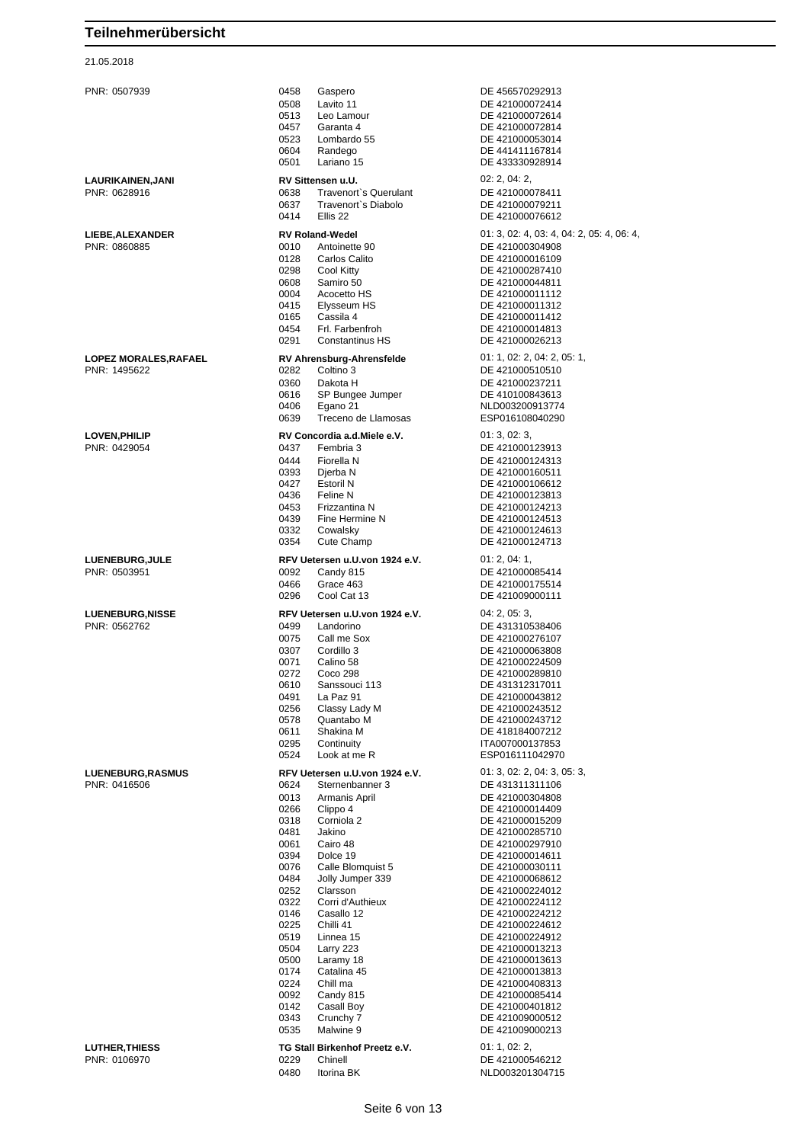#### 21.05.2018

PNR: 0507939 0458 Gaspero DE 456570292913 0508 Lavito 11 DE 421000072414<br>0513 Leo Lamour DE 421000072614 0513 Leo Lamour DE 421000072614 0457 Garanta 4 DE 421000072814<br>0523 Lombardo 55 DE 421000053014 0523 Lombardo 55 DE 421000053014 0604 Randego DE 441411167814 0501 Lariano 15 DE 433330928914 **LAURIKAINEN,JANI RV Sittensen u.U.** 02: 2, 04: 2, PNR: 0628916 0638 Travenort`s Querulant DE 421000078411 0637 Travenort`s Diabolo DE 421000079211 **LIEBE,ALEXANDER RV Roland-Wedel O1: 3, 02: 4, 03: 4, 04: 2, 05: 4, 06: 4, 06: 4, 06: 4, 06: 4, 06: 4, 06: 4, 06: 4, 06: 4, 06: 4, 06: 4, 06: 4, 06: 4, 06: 4, 06: 4, 06: 4, 06: 4, 06: 4, 06: 4, 06: 4, 06: 4, 06: 4, 06:** PNR: 0860885 0010 Antoinette 90 DE 421000304908 0128 Carlos Calito DE 421000016109<br>0298 Cool Kitty DE 421000287410 0298 Cool Kitty DE 421000287410<br>0608 Samiro 50 DE 421000044811 0608 Samiro 50 DE 421000044811 0004 Acocetto HS DE 421000011112 0415 Elysseum HS DE 421000011312<br>0165 Cassila 4 DE 421000011412 0165 Cassila 4 DE 421000011412 0291 Constantinus HS DE 421000026213 **LOPEZ MORALES,RAFAEL RV Ahrensburg-Ahrensfelde** 01: 1, 02: 2, 04: 2, 05: 1, 0360 Dakota H DE 421000237211 0616 SP Bungee Jumper DE 410100843613 0406 Egano 21 NLD003200913774 Treceno de Llamosas **LOVEN,PHILIP RV Concordia a.d.Miele e.V.** 01: 3, 02: 3, 0437 Fembria 3 DE 421000123913<br>0444 Fiorella N DE 421000124313 0444 Fiorella N DE 421000124313 0393 Djerba N DE 421000160511<br>0427 Estoril N DE 421000106612 0427 Estoril N<br>19436 Feline N<br>19436 Feline N 0436 Feline N DE 421000123813 0453 Frizzantina N DE 421000124213 0439 Fine Hermine N DE 421000124513 0332 Cowalsky DE 421000124613<br>0354 Cute Champ DE 421000124713 **LUENEBURG,JULE RFV Uetersen u.U.von 1924 e.V.** 01: 2, 04: 1, PNR: 0503951 0092 Candy 815 DE 421000085414 0466 Grace 463 DE 421000175514<br>0296 Cool Cat 13 DE 421009000111 0296 Cool Cat 13 Cool Cat 13 DE 421009000111 **LUENEBURG,NISSE RFV Uetersen u.U.von 1924 e.V.** 04: 2, 05: 3, Landorino DE 431310538406 0075 Call me Sox DE 421000276107<br>0307 Cordillo 3 DE 421000063808 0071 Calino 58 DE 421000224509<br>0272 Coco 298 DE 421000289810 0272 Coco 298 DE 421000289810 0610 Sanssouci 113 DE 431312317011 0491 La Paz 91 **DE 421000043812**<br>0256 Classy Lady M **DE 421000243512** 0256 Classy Lady M DE 421000243512 0578 Quantabo M DE 421000243712 0611 Shakina M DE 418184007212<br>0295 Continuity 1TA007000137853 0524 Look at me R ESP016111042970 **LUENEBURG,RASMUS RFV Uetersen u.U.von 1924 e.V.** 01: 3, 02: 2, 04: 3, 05: 3, 05: 3, 05: 3, 05: 3, 05: 3, 05: 2, 04: 3, 05: 3, 05: 2, 04: 3, 05: 3, 05: 3, 05: 2, 04: 3, 05: 3, 05: 2, 04: 3, 05: 3, 05: 3, 05: 3, 05: 3, 05 PNR: 0416506 0624 Sternenbanner 3 DE 431311311106 0266 Clippo 4 DE 421000014409 0318 Corniola 2 DE 421000015209 0481 Jakino DE 421000285710 0061 Cairo 48 DE 421000297910 0394 Dolce 19 DE 421000014611 0076 Calle Blomquist 5 DE 421000030111 0484 Jolly Jumper 339 DE 421000068612<br>0252 Clarsson DE 421000224012 0252 Clarsson DE 421000224012 0322 Corri d'Authieux DE 421000224112<br>0146 Casallo 12 DE 421000224212 0146 Casallo 12 DE 421000224212<br>0225 Chilli 41 DE 421000224612 0225 Chilli 41 DE 421000224612<br>0519 Linnea 15 DE 421000224912 0519 Linnea 15 DE 421000224912<br>0504 Larry 223 DE 421000013213 0504 Larry 223 DE 421000013213<br>0500 Laramy 18 DE 421000013613 Laramy 18 DE 421000013613<br>Catalina 45 DE 421000013813 0174 Catalina 45 DE 421000013813<br>0224 Chill ma DE 421000408313 0224 Chill ma DE 421000408313<br>0092 Candy 815 DE 421000085414 0092 Candy 815 DE 421000085414<br>0142 Casall Boy DE 421000401812 0142 Casal Boy DE 421000401812<br>0343 Crunchy 7 DE 421009000512 0343 Crunchy 7 DE 421009000512<br>0535 Malwine 9 DE 421009000213 **LUTHER,THIESS TG Stall Birkenhof Preetz e.V.** 01: 1, 02: 2, PNR: 0106970 0229 Chinell DE 421000546212 0480 Itorina BK NLD003201304715

DE 421000076612 DE 421000014813 DE 421000510510 DE 421000124713 DE 421000063808 ITA007000137853 DE 421000304808 DE 421009000213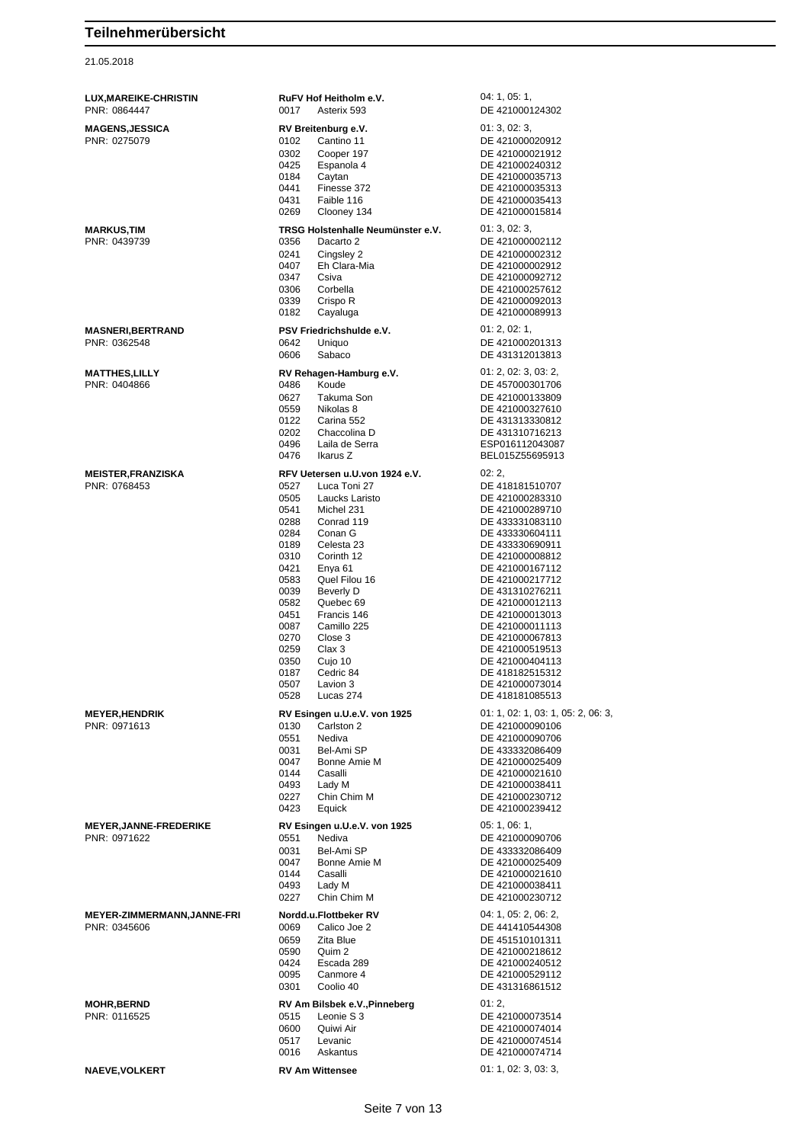| <b>LUX, MAREIKE-CHRISTIN</b><br>PNR: 0864447      | 0017                                                                                                                                                 | RuFV Hof Heitholm e.V.<br>Asterix 593                                                                                                                                                                                                                                                                    | 04: 1, 05: 1,<br>DE 421000124302                                                                                                                                                                                                                                                                                                                                               |
|---------------------------------------------------|------------------------------------------------------------------------------------------------------------------------------------------------------|----------------------------------------------------------------------------------------------------------------------------------------------------------------------------------------------------------------------------------------------------------------------------------------------------------|--------------------------------------------------------------------------------------------------------------------------------------------------------------------------------------------------------------------------------------------------------------------------------------------------------------------------------------------------------------------------------|
| <b>MAGENS,JESSICA</b><br>PNR: 0275079             | 0102<br>0302<br>0425<br>0184<br>0441                                                                                                                 | RV Breitenburg e.V.<br>Cantino 11<br>Cooper 197<br>Espanola 4<br>Caytan<br>Finesse 372                                                                                                                                                                                                                   | 01:3,02:3,<br>DE 421000020912<br>DE 421000021912<br>DE 421000240312<br>DE 421000035713<br>DE 421000035313                                                                                                                                                                                                                                                                      |
|                                                   | 0431<br>0269                                                                                                                                         | Faible 116<br>Clooney 134                                                                                                                                                                                                                                                                                | DE 421000035413<br>DE 421000015814                                                                                                                                                                                                                                                                                                                                             |
| <b>MARKUS,TIM</b><br>PNR: 0439739                 | 0356<br>0241<br>0407<br>0347<br>0306<br>0339<br>0182                                                                                                 | TRSG Holstenhalle Neumünster e.V.<br>Dacarto 2<br>Cingsley 2<br>Eh Clara-Mia<br>Csiva<br>Corbella<br>Crispo R<br>Cayaluga                                                                                                                                                                                | 01:3,02:3,<br>DE 421000002112<br>DE 421000002312<br>DE 421000002912<br>DE 421000092712<br>DE 421000257612<br>DE 421000092013<br>DE 421000089913                                                                                                                                                                                                                                |
| <b>MASNERI,BERTRAND</b><br>PNR: 0362548           | 0642<br>0606                                                                                                                                         | PSV Friedrichshulde e.V.<br>Uniquo<br>Sabaco                                                                                                                                                                                                                                                             | 01: 2, 02: 1,<br>DE 421000201313<br>DE 431312013813                                                                                                                                                                                                                                                                                                                            |
| MATTHES,LILLY<br>PNR: 0404866                     | 0486<br>0627<br>0559<br>0122<br>0202<br>0496<br>0476                                                                                                 | RV Rehagen-Hamburg e.V.<br>Koude<br>Takuma Son<br>Nikolas 8<br>Carina 552<br>Chaccolina D<br>Laila de Serra<br>Ikarus Z                                                                                                                                                                                  | 01: 2, 02: 3, 03: 2,<br>DE 457000301706<br>DE 421000133809<br>DE 421000327610<br>DE 431313330812<br>DE 431310716213<br>ESP016112043087<br>BEL015Z55695913                                                                                                                                                                                                                      |
| <b>MEISTER, FRANZISKA</b><br>PNR: 0768453         | 0527<br>0505<br>0541<br>0288<br>0284<br>0189<br>0310<br>0421<br>0583<br>0039<br>0582<br>0451<br>0087<br>0270<br>0259<br>0350<br>0187<br>0507<br>0528 | RFV Uetersen u.U.von 1924 e.V.<br>Luca Toni 27<br>Laucks Laristo<br>Michel 231<br>Conrad 119<br>Conan G<br>Celesta 23<br>Corinth 12<br>Enya <sub>61</sub><br>Quel Filou 16<br>Beverly D<br>Quebec 69<br>Francis 146<br>Camillo 225<br>Close 3<br>Clax 3<br>Cujo 10<br>Cedric 84<br>Lavion 3<br>Lucas 274 | 02:2,<br>DE 418181510707<br>DE 421000283310<br>DE 421000289710<br>DE 433331083110<br>DE 433330604111<br>DE 433330690911<br>DE 421000008812<br>DE 421000167112<br>DE 421000217712<br>DE 431310276211<br>DE 421000012113<br>DE 421000013013<br>DE 421000011113<br>DE 421000067813<br>DE 421000519513<br>DE 421000404113<br>DE 418182515312<br>DE 421000073014<br>DE 418181085513 |
| <b>MEYER,HENDRIK</b><br>PNR: 0971613              | 0130<br>0551<br>0031<br>0047<br>0144<br>0493<br>0227<br>0423                                                                                         | RV Esingen u.U.e.V. von 1925<br>Carlston 2<br>Nediva<br>Bel-Ami SP<br>Bonne Amie M<br>Casalli<br>Lady M<br>Chin Chim M<br>Equick                                                                                                                                                                         | 01: 1, 02: 1, 03: 1, 05: 2, 06: 3,<br>DE 421000090106<br>DE 421000090706<br>DE 433332086409<br>DE 421000025409<br>DE 421000021610<br>DE 421000038411<br>DE 421000230712<br>DE 421000239412                                                                                                                                                                                     |
| <b>MEYER, JANNE-FREDERIKE</b><br>PNR: 0971622     | 0551<br>0031<br>0047<br>0144<br>0493<br>0227                                                                                                         | RV Esingen u.U.e.V. von 1925<br>Nediva<br>Bel-Ami SP<br>Bonne Amie M<br>Casalli<br>Lady M<br>Chin Chim M                                                                                                                                                                                                 | 05: 1, 06: 1,<br>DE 421000090706<br>DE 433332086409<br>DE 421000025409<br>DE 421000021610<br>DE 421000038411<br>DE 421000230712                                                                                                                                                                                                                                                |
| <b>MEYER-ZIMMERMANN,JANNE-FRI</b><br>PNR: 0345606 | 0069<br>0659<br>0590<br>0424<br>0095<br>0301                                                                                                         | Nordd.u.Flottbeker RV<br>Calico Joe 2<br>Zita Blue<br>Quim 2<br>Escada 289<br>Canmore 4<br>Coolio 40                                                                                                                                                                                                     | 04: 1, 05: 2, 06: 2,<br>DE 441410544308<br>DE 451510101311<br>DE 421000218612<br>DE 421000240512<br>DE 421000529112<br>DE 431316861512                                                                                                                                                                                                                                         |
| <b>MOHR,BERND</b><br>PNR: 0116525                 | 0515<br>0600<br>0517<br>0016                                                                                                                         | RV Am Bilsbek e.V., Pinneberg<br>Leonie S 3<br>Quiwi Air<br>Levanic<br>Askantus                                                                                                                                                                                                                          | 01:2,<br>DE 421000073514<br>DE 421000074014<br>DE 421000074514<br>DE 421000074714                                                                                                                                                                                                                                                                                              |
| <b>NAEVE, VOLKERT</b>                             |                                                                                                                                                      | <b>RV Am Wittensee</b>                                                                                                                                                                                                                                                                                   | 01: 1, 02: 3, 03: 3,                                                                                                                                                                                                                                                                                                                                                           |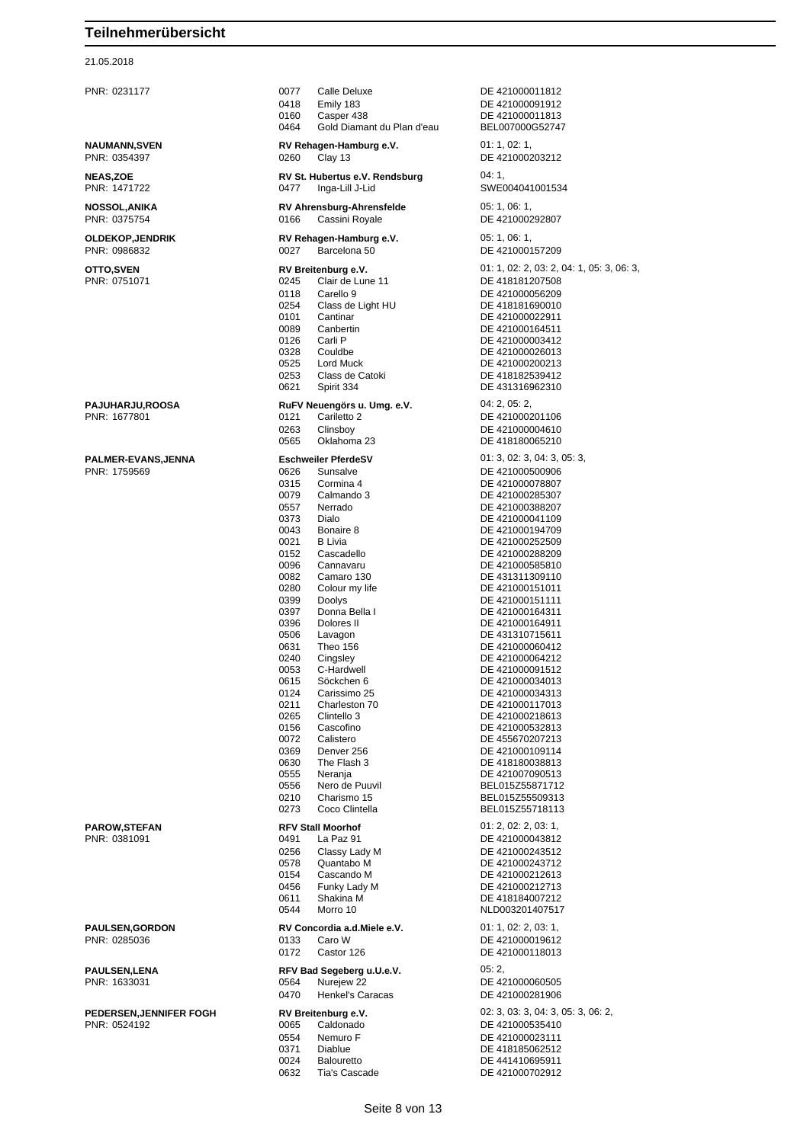#### 21.05.2018

PNR: 0231177 0077 Calle Deluxe DE 421000011812 0418 Emily 183 DE 421000091912<br>0160 Casper 438 DE 421000011813 0160 Casper 438 DE 421000011813 0464 Gold Diamant du Plan d'eau BEL007000G52747 **NAUMANN,SVEN RV Rehagen-Hamburg e.V.** 01: 1, 02: 1,<br>
PNR: 0354397 0260 Clav 13 DE 4210002 0260 Clay 13 Clay 13 DE 421000203212 **NEAS,ZOE RV St. Hubertus e.V. Rendsburg** 04: 1, PNR: 1471722 0477 Inga-Lill J-Lid SWE004041001534 **NOSSOL,ANIKA RV Ahrensburg-Ahrensfelde** 05: 1, 06: 1, PNR: 0375754 0166 Cassini Royale DE 421000292807 **OLDEKOP,JENDRIK RV Rehagen-Hamburg e.V.** 05: 1, 06: 1, PNR: 0986832 0027 Barcelona 50 DE 421000157209 **OTTO,SVEN RV Breitenburg e.V.** 01: 1, 02: 2, 03: 2, 04: 1, 05: 3, 06: 3, PNR: 0751071 0245 Clair de Lune 11 DE 418181207508 0118 Carello 9 DE 421000056209 0254 Class de Light HU DE 418181690010<br>0101 Cantinar DE 421000022911 0101 Cantinar DE 421000022911<br>1991 Cantertin DE 421000164511 DE 421000164511 0126 Carli P DE 421000003412<br>0328 Couldbe DE 421000026013 0328 Couldbe DE 421000026013 0525 Lord Muck DE 421000200213 DF 418182539412 0621 Spirit 334 DE 431316962310 **PAJUHARJU,ROOSA RuFV Neuengörs u. Umg. e.V.** 04: 2, 05: 2, PNR: 1677801 0121 Cariletto 2 DE 421000201106 0263 Clinsboy DE 421000004610 0565 Oklahoma 23 DE 418180065210 **PALMER-EVANS,JENNA Eschweiler PferdeSV** 01: 3, 02: 3, 04: 3, 05: 3, PNR: 1759569 0626 Sunsalve DE 421000500906 0315 Cormina 4 DE 421000078807 0079 Calmando 3 DE 421000285307 0557 Nerrado DE 421000388207<br>0373 Dialo DE 421000041109 0373 Dialo<br>0043 Bonaire 8 DE 421000041109 0043 Bonaire 8 DE 421000194709<br>0021 B Livia DE 421000252509 0021 B Livia **DE 421000252509**<br>0152 Cascadello DE 421000288209 0152 Cascadello DE 421000288209 0096 Cannavaru DE 421000585810 DE 431311309110 0280 Colour my life DE 421000151011<br>0399 Doolys Dooly DE 421000151111 0399 Doolys De 421000151111<br>0397 Donna Bella I DE 421000164311 Donna Bella I DE 421000164311 0396 Dolores II DE 421000164911 DE 431310715611 0631 Theo 156 **DE 421000060412** 0240 Cingsley DE 421000064212<br>0053 C-Hardwell DE 421000091512 0053 C-Hardwell DE 421000091512<br>0615 Söckchen 6 DE 421000034013 0615 Söckchen 6 DE 421000034013<br>0124 Carissimo 25 DE 421000034313 0124 Carissimo 25 DE 421000034313<br>0211 Charleston 70 DE 421000117013 0211 Charleston 70 DE 421000117013<br>0265 Clintello 3 DE 421000218613 0265 Clintello 3 DE 421000218613<br>0156 Cascofino DE 421000532813 0156 Cascofino DE 421000532813 0072 Calistero DE 455670207213<br>0369 Denver 256 DE 421000109114 0369 Denver 256 DE 421000109114<br>0630 The Flash 3 DE 418180038813 0630 The Flash 3 DE 418180038813 0555 Neranja DE 421007090513<br>1956 Nero de Puuvil DE BEL015Z55871712 0556 Nero de Puuvil BEL015Z55871712 0210 Charismo 15 BEL015Z55509313<br>Coco Clintella BEL015Z55718113 0273 Coco Clintella BEL015Z55718113 **PAROW,STEFAN RFV Stall Moorhof** 01: 2, 02: 2, 03: 1, La Paz 91 **DE 421000043812** 0256 Classy Lady M DE 421000243512 0578 Quantabo M DE 421000243712 0154 Cascando M DE 421000212613 DE 421000212713 0611 Shakina M DE 418184007212 0544 Morro 10 NLD003201407517 **PAULSEN.GORDON RV Concordia a.d.Miele e.V.** 01: 1, 02: 2, 03: 1, PNR: 0285036 0133 Caro W DE 421000019612 0172 Castor 126 DE 421000118013 **PAULSEN,LENA RFV Bad Segeberg u.U.e.V.** 05: 2,<br>
PNR: 1633031 **DE 42 DE 42 DE 42** PNR: 1633031 0564 Nurejew 22 DE 421000060505 0470 Henkel's Caracas DE 421000281906 **PEDERSEN,JENNIFER FOGH RV Breitenburg e.V.** 02: 3, 03: 3, 04: 3, 05: 3, 06: 2, PNR: 0524192 0065 Caldonado DE 421000535410 0554 Nemuro F DE 421000023111<br>0371 Diablue DE 418185062512 DE 418185062512 0024 Balouretto DE 441410695911 0632 Tia's Cascade DE 421000702912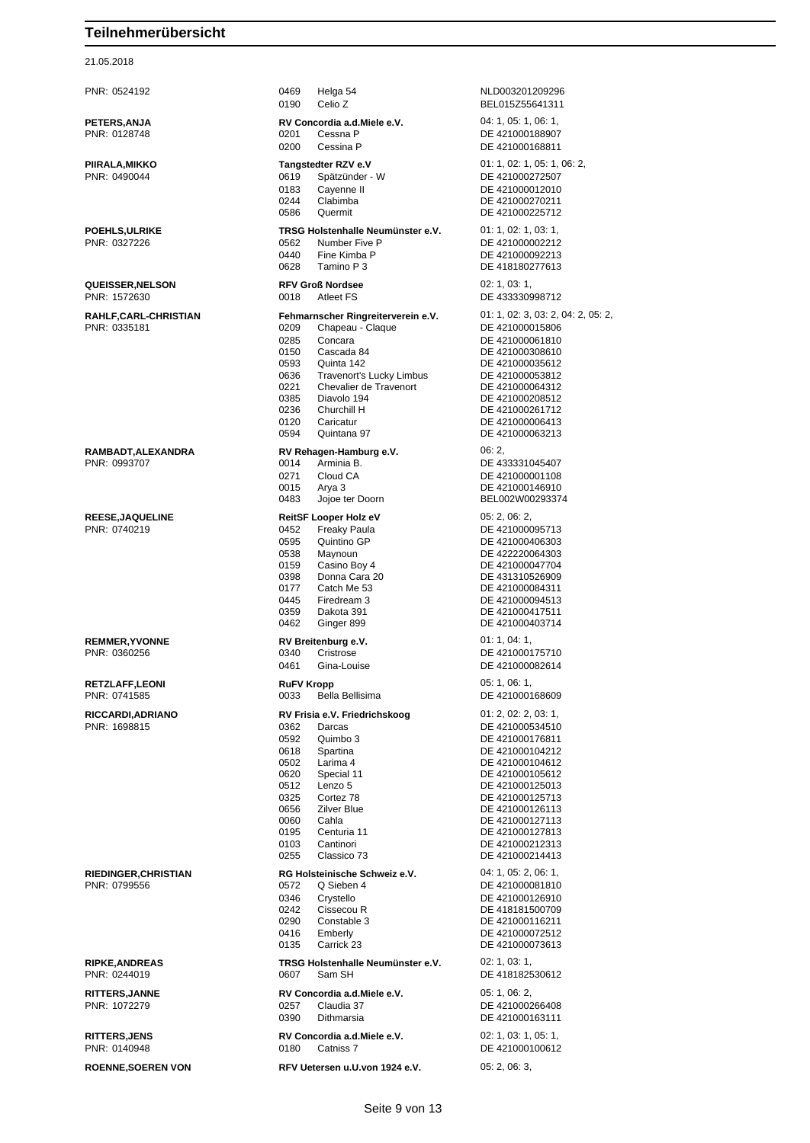| PNR: 0524192                | 0469<br>Helga 54<br>0190<br>Celio Z | NLD003201209296<br>BEL015Z55641311 |
|-----------------------------|-------------------------------------|------------------------------------|
| <b>PETERS, ANJA</b>         | RV Concordia a.d. Miele e.V.        | 04: 1, 05: 1, 06: 1,               |
|                             |                                     |                                    |
| PNR: 0128748                | 0201<br>Cessna P                    | DE 421000188907                    |
|                             | 0200<br>Cessina P                   | DE 421000168811                    |
|                             |                                     |                                    |
| PIIRALA,MIKKO               | Tangstedter RZV e.V                 | 01: 1, 02: 1, 05: 1, 06: 2,        |
| PNR: 0490044                | 0619<br>Spätzünder - W              | DE 421000272507                    |
|                             | 0183<br>Cayenne II                  | DE 421000012010                    |
|                             | 0244<br>Clabimba                    | DE 421000270211                    |
|                             | 0586<br>Quermit                     | DE 421000225712                    |
|                             |                                     |                                    |
| <b>POEHLS,ULRIKE</b>        | TRSG Holstenhalle Neumünster e.V.   | 01: 1, 02: 1, 03: 1,               |
| PNR: 0327226                | 0562<br>Number Five P               | DE 421000002212                    |
|                             | 0440<br>Fine Kimba P                | DE 421000092213                    |
|                             |                                     |                                    |
|                             | 0628<br>Tamino P 3                  | DE 418180277613                    |
| <b>QUEISSER, NELSON</b>     | <b>RFV Groß Nordsee</b>             | 02: 1, 03: 1,                      |
| PNR: 1572630                | 0018<br><b>Atleet FS</b>            | DE 433330998712                    |
|                             |                                     |                                    |
| RAHLF,CARL-CHRISTIAN        | Fehmarnscher Ringreiterverein e.V.  | 01: 1, 02: 3, 03: 2, 04: 2, 05: 2, |
| PNR: 0335181                | 0209<br>Chapeau - Claque            | DE 421000015806                    |
|                             |                                     |                                    |
|                             | 0285<br>Concara                     | DE 421000061810                    |
|                             | 0150<br>Cascada 84                  | DE 421000308610                    |
|                             | 0593<br>Quinta 142                  | DE 421000035612                    |
|                             | 0636<br>Travenort's Lucky Limbus    | DE 421000053812                    |
|                             | 0221<br>Chevalier de Travenort      | DE 421000064312                    |
|                             | 0385<br>Diavolo 194                 | DE 421000208512                    |
|                             | 0236<br>Churchill H                 | DE 421000261712                    |
|                             | 0120<br>Caricatur                   | DE 421000006413                    |
|                             |                                     |                                    |
|                             | 0594<br>Quintana 97                 | DE 421000063213                    |
| RAMBADT,ALEXANDRA           | RV Rehagen-Hamburg e.V.             | 06:2,                              |
| PNR: 0993707                | 0014<br>Arminia B.                  | DE 433331045407                    |
|                             |                                     |                                    |
|                             | 0271<br>Cloud CA                    | DE 421000001108                    |
|                             | 0015<br>Arya 3                      | DE 421000146910                    |
|                             | 0483<br>Jojoe ter Doorn             | BEL002W00293374                    |
|                             |                                     |                                    |
| <b>REESE, JAQUELINE</b>     | ReitSF Looper Holz eV               | 05: 2, 06: 2,                      |
| PNR: 0740219                | 0452<br>Freaky Paula                | DE 421000095713                    |
|                             | 0595<br>Quintino GP                 | DE 421000406303                    |
|                             | 0538<br>Maynoun                     | DE 422220064303                    |
|                             | 0159<br>Casino Boy 4                | DE 421000047704                    |
|                             | 0398<br>Donna Cara 20               | DE 431310526909                    |
|                             |                                     |                                    |
|                             | 0177<br>Catch Me 53                 | DE 421000084311                    |
|                             | 0445<br>Firedream 3                 | DE 421000094513                    |
|                             | 0359<br>Dakota 391                  | DE 421000417511                    |
|                             | 0462<br>Ginger 899                  | DE 421000403714                    |
|                             |                                     |                                    |
| <b>REMMER, YVONNE</b>       | RV Breitenburg e.V.                 | 01: 1, 04: 1,                      |
| PNR: 0360256                | 0340<br>Cristrose                   | DE 421000175710                    |
|                             | 0461<br>Gina-Louise                 | DE 421000082614                    |
|                             |                                     |                                    |
| <b>RETZLAFF,LEONI</b>       | <b>RuFV Kropp</b>                   | 05: 1, 06: 1,                      |
| PNR: 0741585                | 0033<br>Bella Bellisima             | DE 421000168609                    |
|                             |                                     | 01: 2, 02: 2, 03: 1,               |
| RICCARDI,ADRIANO            | RV Frisia e.V. Friedrichskoog       |                                    |
| PNR: 1698815                | 0362<br>Darcas                      | DE 421000534510                    |
|                             | 0592<br>Quimbo 3                    | DE 421000176811                    |
|                             | Spartina<br>0618                    | DE 421000104212                    |
|                             | 0502<br>Larima 4                    | DE 421000104612                    |
|                             | 0620<br>Special 11                  | DE 421000105612                    |
|                             | Lenzo 5<br>0512                     | DE 421000125013                    |
|                             | 0325<br>Cortez 78                   | DE 421000125713                    |
|                             |                                     |                                    |
|                             | 0656<br><b>Zilver Blue</b>          | DE 421000126113                    |
|                             | 0060<br>Cahla                       | DE 421000127113                    |
|                             | 0195<br>Centuria 11                 | DE 421000127813                    |
|                             | 0103<br>Cantinori                   | DE 421000212313                    |
|                             | 0255<br>Classico 73                 | DE 421000214413                    |
|                             |                                     |                                    |
| <b>RIEDINGER, CHRISTIAN</b> | RG Holsteinische Schweiz e.V.       | 04: 1, 05: 2, 06: 1,               |
| PNR: 0799556                | 0572<br>Q Sieben 4                  | DE 421000081810                    |
|                             | 0346<br>Crystello                   | DE 421000126910                    |
|                             | 0242<br>Cissecou R                  | DE 418181500709                    |
|                             | 0290<br>Constable 3                 | DE 421000116211                    |
|                             | 0416<br>Emberly                     | DE 421000072512                    |
|                             |                                     |                                    |
|                             | Carrick 23<br>0135                  | DE 421000073613                    |
| <b>RIPKE, ANDREAS</b>       | TRSG Holstenhalle Neumünster e.V.   | 02: 1, 03: 1,                      |
|                             | 0607<br>Sam SH                      |                                    |
| PNR: 0244019                |                                     | DE 418182530612                    |
| <b>RITTERS, JANNE</b>       | RV Concordia a.d. Miele e.V.        | 05: 1, 06: 2,                      |
|                             |                                     |                                    |
| PNR: 1072279                | 0257<br>Claudia 37                  | DE 421000266408                    |
|                             | 0390<br>Dithmarsia                  | DE 421000163111                    |
| <b>RITTERS, JENS</b>        | RV Concordia a.d. Miele e.V.        | 02: 1, 03: 1, 05: 1,               |
|                             |                                     |                                    |
| PNR: 0140948                | 0180<br>Catniss 7                   | DE 421000100612                    |
| <b>ROENNE, SOEREN VON</b>   | RFV Uetersen u.U.von 1924 e.V.      | 05: 2, 06: 3,                      |
|                             |                                     |                                    |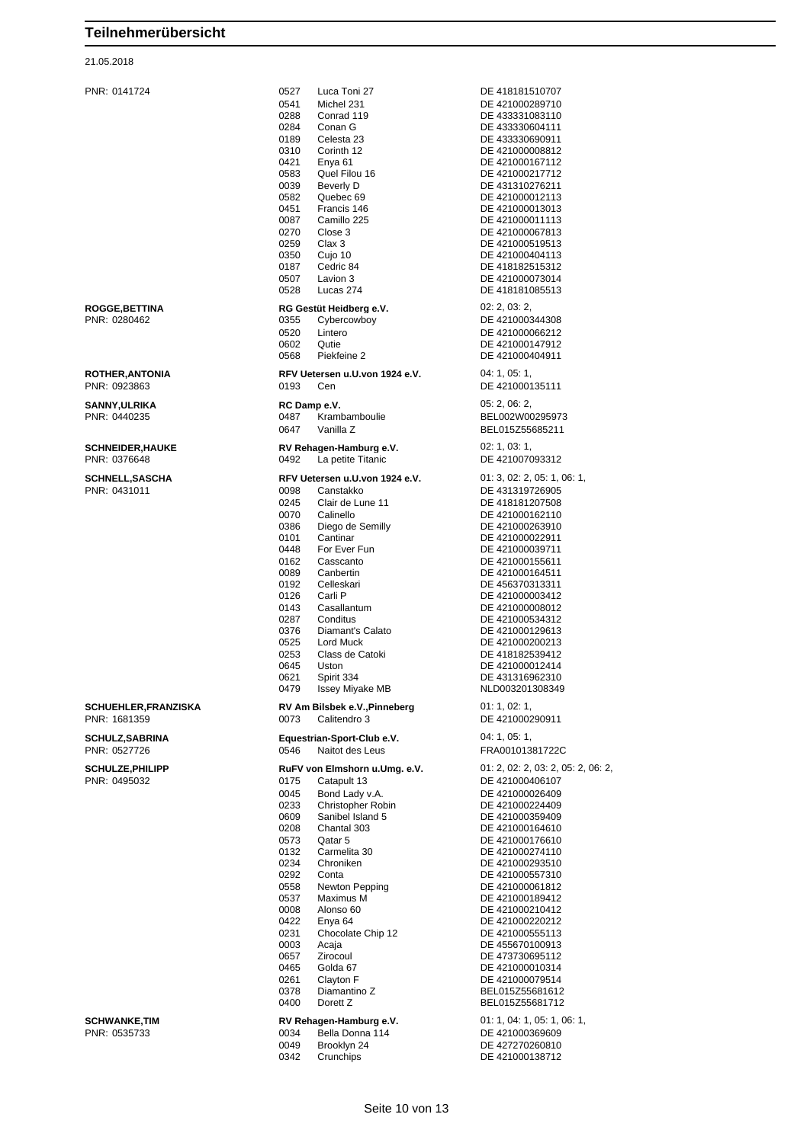| PNR: 0141724                               | 0527<br>Luca Toni 27                                  | DE 418181510707                    |
|--------------------------------------------|-------------------------------------------------------|------------------------------------|
|                                            | Michel 231<br>0541                                    | DE 421000289710                    |
|                                            | 0288<br>Conrad 119                                    | DE 433331083110                    |
|                                            | 0284<br>Conan G                                       | DE 433330604111                    |
|                                            | 0189<br>Celesta 23                                    | DE 433330690911                    |
|                                            | 0310<br>Corinth 12<br>0421<br>Enya <sub>61</sub>      | DE 421000008812                    |
|                                            | 0583<br>Quel Filou 16                                 | DE 421000167112<br>DE 421000217712 |
|                                            | 0039<br>Beverly D                                     | DE 431310276211                    |
|                                            | 0582<br>Quebec 69                                     | DE 421000012113                    |
|                                            | 0451<br>Francis 146                                   | DE 421000013013                    |
|                                            | 0087<br>Camillo 225                                   | DE 421000011113                    |
|                                            | 0270<br>Close 3                                       | DE 421000067813                    |
|                                            | 0259<br>Clax 3                                        | DE 421000519513                    |
|                                            | 0350<br>Cujo 10                                       | DE 421000404113                    |
|                                            | 0187<br>Cedric 84                                     | DE 418182515312                    |
|                                            | 0507<br>Lavion 3<br>0528<br>Lucas 274                 | DE 421000073014<br>DE 418181085513 |
|                                            |                                                       |                                    |
| <b>ROGGE,BETTINA</b>                       | RG Gestüt Heidberg e.V.                               | 02: 2, 03: 2,                      |
| PNR: 0280462                               | 0355<br>Cybercowboy                                   | DE 421000344308                    |
|                                            | 0520<br>Lintero                                       | DE 421000066212                    |
|                                            | 0602<br>Qutie                                         | DE 421000147912                    |
|                                            | 0568<br>Piekfeine 2                                   | DE 421000404911                    |
| <b>ROTHER, ANTONIA</b>                     | RFV Uetersen u.U.von 1924 e.V.                        | 04:1,05:1,                         |
| PNR: 0923863                               | 0193<br>Cen                                           | DE 421000135111                    |
|                                            |                                                       | 05: 2, 06: 2,                      |
| SANNY,ULRIKA<br>PNR: 0440235               | RC Damp e.V.<br>0487<br>Krambamboulie                 | BEL002W00295973                    |
|                                            | 0647<br>Vanilla Z                                     | BEL015Z55685211                    |
|                                            |                                                       |                                    |
| <b>SCHNEIDER,HAUKE</b>                     | RV Rehagen-Hamburg e.V.                               | 02: 1, 03: 1,                      |
| PNR: 0376648                               | 0492<br>La petite Titanic                             | DE 421007093312                    |
| <b>SCHNELL,SASCHA</b>                      | RFV Uetersen u.U.von 1924 e.V.                        | 01: 3, 02: 2, 05: 1, 06: 1,        |
| PNR: 0431011                               | 0098<br>Canstakko                                     | DE 431319726905                    |
|                                            | 0245<br>Clair de Lune 11                              | DE 418181207508                    |
|                                            | 0070<br>Calinello                                     | DE 421000162110                    |
|                                            | 0386<br>Diego de Semilly                              | DE 421000263910                    |
|                                            | Cantinar<br>0101                                      | DE 421000022911                    |
|                                            | 0448<br>For Ever Fun                                  | DE 421000039711                    |
|                                            | 0162<br>Casscanto                                     | DE 421000155611                    |
|                                            | 0089<br>Canbertin                                     | DE 421000164511                    |
|                                            | 0192<br>Celleskari                                    | DE 456370313311                    |
|                                            | 0126<br>Carli P                                       | DE 421000003412                    |
|                                            | 0143<br>Casallantum<br>Conditus                       | DE 421000008012                    |
|                                            | 0287<br>0376<br>Diamant's Calato                      | DE 421000534312<br>DE 421000129613 |
|                                            | 0525<br>Lord Muck                                     | DE 421000200213                    |
|                                            | 0253<br>Class de Catoki                               | DE 418182539412                    |
|                                            | 0645<br>Uston                                         | DE 421000012414                    |
|                                            | 0621<br>Spirit 334                                    | DE 431316962310                    |
|                                            | 0479<br><b>Issey Miyake MB</b>                        | NLD003201308349                    |
|                                            |                                                       | 01: 1, 02: 1,                      |
| <b>SCHUEHLER,FRANZISKA</b><br>PNR: 1681359 | RV Am Bilsbek e.V., Pinneberg<br>0073<br>Calitendro 3 | DE 421000290911                    |
|                                            |                                                       |                                    |
| <b>SCHULZ, SABRINA</b>                     | Equestrian-Sport-Club e.V.                            | 04:1,05:1,                         |
| PNR: 0527726                               | 0546<br>Naitot des Leus                               | FRA00101381722C                    |
| <b>SCHULZE, PHILIPP</b>                    | RuFV von Elmshorn u.Umg. e.V.                         | 01: 2, 02: 2, 03: 2, 05: 2, 06: 2, |
| PNR: 0495032                               | Catapult 13<br>0175                                   | DE 421000406107                    |
|                                            | 0045<br>Bond Lady v.A.                                | DE 421000026409                    |
|                                            | 0233<br>Christopher Robin                             | DE 421000224409                    |
|                                            | 0609<br>Sanibel Island 5                              | DE 421000359409                    |
|                                            | 0208<br>Chantal 303                                   | DE 421000164610                    |
|                                            | 0573<br>Qatar 5                                       | DE 421000176610                    |
|                                            | 0132<br>Carmelita 30                                  | DE 421000274110                    |
|                                            | 0234<br>Chroniken                                     | DE 421000293510                    |
|                                            | 0292<br>Conta                                         | DE 421000557310                    |
|                                            | 0558<br>Newton Pepping                                | DE 421000061812                    |
|                                            | 0537<br>Maximus M                                     | DE 421000189412                    |
|                                            | 0008<br>Alonso 60                                     | DE 421000210412                    |
|                                            | 0422<br>Enya 64<br>0231                               | DE 421000220212                    |
|                                            | Chocolate Chip 12<br>0003<br>Acaja                    | DE 421000555113<br>DE 455670100913 |
|                                            | 0657<br>Zirocoul                                      | DE 473730695112                    |
|                                            | 0465<br>Golda 67                                      | DE 421000010314                    |
|                                            | 0261<br>Clayton F                                     | DE 421000079514                    |
|                                            | 0378<br>Diamantino Z                                  | BEL015Z55681612                    |
|                                            | 0400<br>Dorett Z                                      | BEL015Z55681712                    |
| SCHWANKE,TIM                               | RV Rehagen-Hamburg e.V.                               | 01: 1, 04: 1, 05: 1, 06: 1,        |
| PNR: 0535733                               | 0034<br>Bella Donna 114                               | DE 421000369609                    |
|                                            | 0049<br>Brooklyn 24                                   | DE 427270260810                    |
|                                            |                                                       |                                    |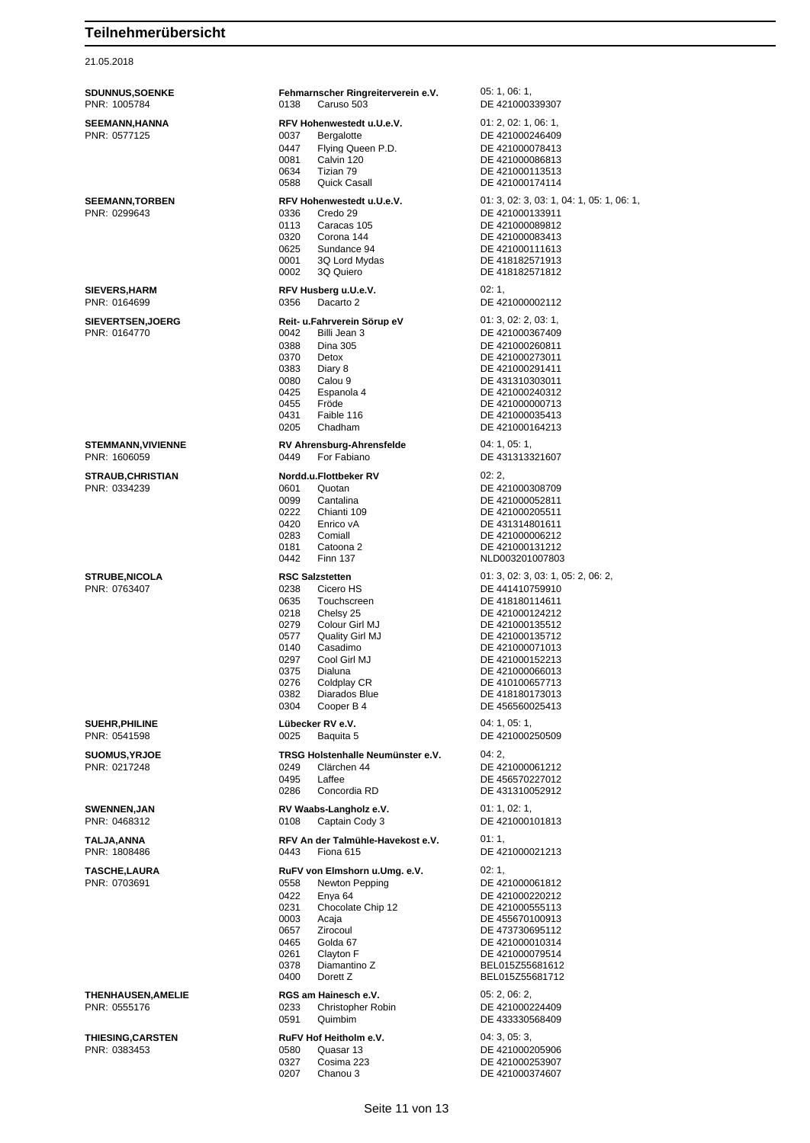21.05.2018

| <b>SDUNNUS, SOENKE</b><br>PNR: 1005784    | Fehmarnscher Ringreiterverein e.V.<br>0138<br>Caruso 503                                                                                                                                                                                                                          | 05: 1, 06: 1,<br>DE 421000339307                                                                                                                                                                                                                    |
|-------------------------------------------|-----------------------------------------------------------------------------------------------------------------------------------------------------------------------------------------------------------------------------------------------------------------------------------|-----------------------------------------------------------------------------------------------------------------------------------------------------------------------------------------------------------------------------------------------------|
| <b>SEEMANN,HANNA</b><br>PNR: 0577125      | RFV Hohenwestedt u.U.e.V.<br>0037<br><b>Bergalotte</b><br>0447<br>Flying Queen P.D.<br>0081<br>Calvin 120<br>0634<br>Tizian 79<br>0588<br>Quick Casall                                                                                                                            | 01: 2, 02: 1, 06: 1,<br>DE 421000246409<br>DE 421000078413<br>DE 421000086813<br>DE 421000113513<br>DE 421000174114                                                                                                                                 |
| <b>SEEMANN, TORBEN</b><br>PNR: 0299643    | RFV Hohenwestedt u.U.e.V.<br>0336<br>Credo 29<br>0113<br>Caracas 105<br>0320<br>Corona 144<br>0625<br>Sundance 94<br>0001<br>3Q Lord Mydas<br>0002<br>3Q Quiero                                                                                                                   | 01: 3, 02: 3, 03: 1, 04: 1, 05: 1, 06: 1,<br>DE 421000133911<br>DE 421000089812<br>DE 421000083413<br>DE 421000111613<br>DE 418182571913<br>DE 418182571812                                                                                         |
| <b>SIEVERS, HARM</b><br>PNR: 0164699      | RFV Husberg u.U.e.V.<br>0356<br>Dacarto 2                                                                                                                                                                                                                                         | 02:1<br>DE 421000002112                                                                                                                                                                                                                             |
| <b>SIEVERTSEN, JOERG</b><br>PNR: 0164770  | Reit- u.Fahrverein Sörup eV<br>0042<br>Billi Jean 3<br>0388<br><b>Dina 305</b><br>0370<br>Detox<br>0383<br>Diary 8<br>0080<br>Calou 9<br>0425<br>Espanola 4<br>Fröde<br>0455<br>0431<br>Faible 116<br>0205<br>Chadham                                                             | 01: 3, 02: 2, 03: 1,<br>DE 421000367409<br>DE 421000260811<br>DE 421000273011<br>DE 421000291411<br>DE 431310303011<br>DE 421000240312<br>DE 421000000713<br>DE 421000035413<br>DE 421000164213                                                     |
| <b>STEMMANN, VIVIENNE</b><br>PNR: 1606059 | RV Ahrensburg-Ahrensfelde<br>0449<br>For Fabiano                                                                                                                                                                                                                                  | 04: 1, 05: 1,<br>DE 431313321607                                                                                                                                                                                                                    |
| <b>STRAUB, CHRISTIAN</b><br>PNR: 0334239  | Nordd.u.Flottbeker RV<br>0601<br>Quotan<br>0099<br>Cantalina<br>0222<br>Chianti 109<br>0420<br>Enrico vA<br>0283<br>Comiall<br>0181<br>Catoona 2<br>0442<br><b>Finn 137</b>                                                                                                       | 02:2,<br>DE 421000308709<br>DE 421000052811<br>DE 421000205511<br>DE 431314801611<br>DE 421000006212<br>DE 421000131212<br>NLD003201007803                                                                                                          |
| <b>STRUBE, NICOLA</b><br>PNR: 0763407     | <b>RSC Salzstetten</b><br>0238<br>Cicero HS<br>0635<br>Touchscreen<br>0218<br>Chelsy 25<br>0279<br>Colour Girl MJ<br>Quality Girl MJ<br>0577<br>0140<br>Casadimo<br>0297<br>Cool Girl MJ<br>0375<br>Dialuna<br>0276<br>Coldplay CR<br>0382<br>Diarados Blue<br>0304<br>Cooper B 4 | 01: 3, 02: 3, 03: 1, 05: 2, 06: 2,<br>DE 441410759910<br>DE 418180114611<br>DE 421000124212<br>DE 421000135512<br>DE 421000135712<br>DE 421000071013<br>DE 421000152213<br>DE 421000066013<br>DE 410100657713<br>DE 418180173013<br>DE 456560025413 |
| <b>SUEHR, PHILINE</b><br>PNR: 0541598     | Lübecker RV e.V.<br>0025<br>Baquita 5                                                                                                                                                                                                                                             | 04: 1, 05: 1,<br>DE 421000250509                                                                                                                                                                                                                    |
| <b>SUOMUS, YRJOE</b><br>PNR: 0217248      | TRSG Holstenhalle Neumünster e.V.<br>0249<br>Clärchen 44<br>0495<br>Laffee<br>0286<br>Concordia RD                                                                                                                                                                                | 04:2,<br>DE 421000061212<br>DE 456570227012<br>DE 431310052912                                                                                                                                                                                      |
| <b>SWENNEN,JAN</b><br>PNR: 0468312        | RV Waabs-Langholz e.V.<br>0108<br>Captain Cody 3                                                                                                                                                                                                                                  | 01: 1, 02: 1,<br>DE 421000101813                                                                                                                                                                                                                    |
| TALJA,ANNA<br>PNR: 1808486                | RFV An der Talmühle-Havekost e.V.<br>0443<br>Fiona 615                                                                                                                                                                                                                            | 01:1,<br>DE 421000021213                                                                                                                                                                                                                            |
| <b>TASCHE.LAURA</b><br>PNR: 0703691       | RuFV von Elmshorn u.Umg. e.V.<br>0558<br>Newton Pepping<br>0422<br>Enya 64<br>0231<br>Chocolate Chip 12<br>0003<br>Acaja<br>0657<br>Zirocoul<br>0465<br>Golda 67<br>0261<br>Clayton F<br>0378<br>Diamantino Z<br>0400<br>Dorett Z                                                 | 02:1,<br>DE 421000061812<br>DE 421000220212<br>DE 421000555113<br>DE 455670100913<br>DE 473730695112<br>DE 421000010314<br>DE 421000079514<br>BEL015Z55681612<br>BEL015Z55681712                                                                    |
| <b>THENHAUSEN, AMELIE</b><br>PNR: 0555176 | RGS am Hainesch e.V.<br>0233<br>Christopher Robin<br>0591<br>Quimbim                                                                                                                                                                                                              | 05: 2, 06: 2,<br>DE 421000224409<br>DE 433330568409                                                                                                                                                                                                 |
| <b>THIESING, CARSTEN</b><br>PNR: 0383453  | RuFV Hof Heitholm e.V.<br>0580<br>Quasar 13<br>Cosima 223<br>0327<br>0207<br>Chanou 3                                                                                                                                                                                             | 04:3,05:3,<br>DE 421000205906<br>DE 421000253907<br>DE 421000374607                                                                                                                                                                                 |

Seite 11 von 13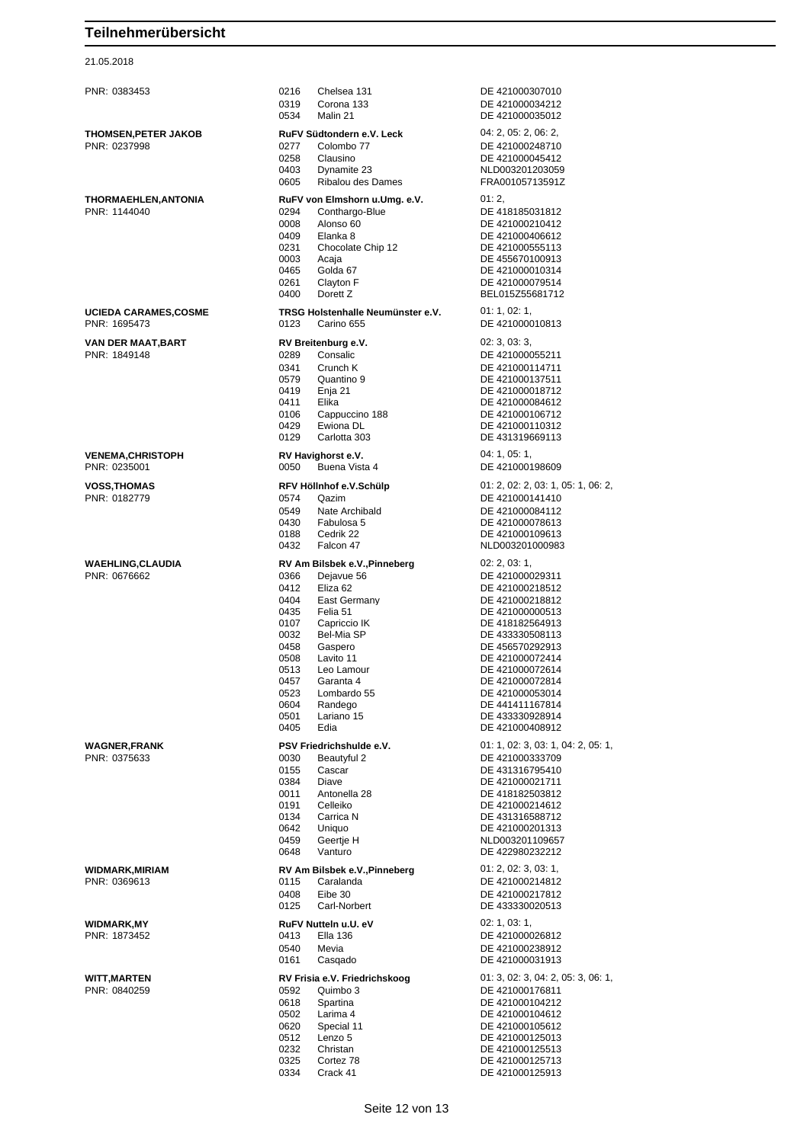21.05.2018

| PNR: 0383453                                | 0216<br>Chelsea 131<br>0319<br>Corona 133<br>0534<br>Malin 21                                                                                                                                                                                                                                                                        | DE 421000307010<br>DE 421000034212<br>DE 421000035012                                                                                                                                                                                                                                   |
|---------------------------------------------|--------------------------------------------------------------------------------------------------------------------------------------------------------------------------------------------------------------------------------------------------------------------------------------------------------------------------------------|-----------------------------------------------------------------------------------------------------------------------------------------------------------------------------------------------------------------------------------------------------------------------------------------|
| <b>THOMSEN, PETER JAKOB</b><br>PNR: 0237998 | RuFV Südtondern e.V. Leck<br>Colombo 77<br>0277<br>0258<br>Clausino<br>0403<br>Dynamite 23<br>Ribalou des Dames<br>0605                                                                                                                                                                                                              | 04: 2, 05: 2, 06: 2,<br>DE 421000248710<br>DE 421000045412<br>NLD003201203059<br>FRA00105713591Z                                                                                                                                                                                        |
| THORMAEHLEN, ANTONIA<br>PNR: 1144040        | RuFV von Elmshorn u.Umg. e.V.<br>0294<br>Conthargo-Blue<br>0008<br>Alonso 60<br>0409<br>Elanka 8<br>0231<br>Chocolate Chip 12<br>0003<br>Acaja<br>Golda 67<br>0465<br>Clayton F<br>0261<br>0400<br>Dorett Z                                                                                                                          | 01:2,<br>DE 418185031812<br>DE 421000210412<br>DE 421000406612<br>DE 421000555113<br>DE 455670100913<br>DE 421000010314<br>DE 421000079514<br>BEL015Z55681712                                                                                                                           |
| <b>UCIEDA CARAMES,COSME</b><br>PNR: 1695473 | TRSG Holstenhalle Neumünster e.V.<br>0123<br>Carino 655                                                                                                                                                                                                                                                                              | 01: 1, 02: 1,<br>DE 421000010813                                                                                                                                                                                                                                                        |
| VAN DER MAAT, BART<br>PNR: 1849148          | RV Breitenburg e.V.<br>0289<br>Consalic<br>0341<br>Crunch K<br>0579<br>Quantino 9<br>0419<br>Enja 21<br>0411<br>Elika<br>0106<br>Cappuccino 188<br>0429<br>Ewiona DL<br>0129<br>Carlotta 303                                                                                                                                         | 02: 3, 03: 3,<br>DE 421000055211<br>DE 421000114711<br>DE 421000137511<br>DE 421000018712<br>DE 421000084612<br>DE 421000106712<br>DE 421000110312<br>DE 431319669113                                                                                                                   |
| <b>VENEMA, CHRISTOPH</b><br>PNR: 0235001    | RV Havighorst e.V.<br>Buena Vista 4<br>0050                                                                                                                                                                                                                                                                                          | 04:1,05:1,<br>DE 421000198609                                                                                                                                                                                                                                                           |
| <b>VOSS, THOMAS</b><br>PNR: 0182779         | RFV Höllnhof e.V.Schülp<br>Qazim<br>0574<br>0549<br>Nate Archibald<br>0430<br>Fabulosa 5<br>0188<br>Cedrik 22<br>0432<br>Falcon 47                                                                                                                                                                                                   | 01: 2, 02: 2, 03: 1, 05: 1, 06: 2,<br>DE 421000141410<br>DE 421000084112<br>DE 421000078613<br>DE 421000109613<br>NLD003201000983                                                                                                                                                       |
| <b>WAEHLING, CLAUDIA</b><br>PNR: 0676662    | RV Am Bilsbek e.V., Pinneberg<br>0366<br>Dejavue 56<br>0412<br>Eliza 62<br>0404<br>East Germany<br>0435<br>Felia 51<br>0107<br>Capriccio IK<br>0032<br>Bel-Mia SP<br>0458<br>Gaspero<br>0508<br>Lavito 11<br>0513<br>Leo Lamour<br>0457<br>Garanta 4<br>0523<br>Lombardo 55<br>0604<br>Randego<br>0501<br>Lariano 15<br>0405<br>Edia | 02: 2, 03: 1,<br>DE 421000029311<br>DE 421000218512<br>DE 421000218812<br>DE 421000000513<br>DE 418182564913<br>DE 433330508113<br>DE 456570292913<br>DE 421000072414<br>DE 421000072614<br>DE 421000072814<br>DE 421000053014<br>DE 441411167814<br>DE 433330928914<br>DE 421000408912 |
| <b>WAGNER, FRANK</b><br>PNR: 0375633        | PSV Friedrichshulde e.V.<br>0030<br>Beautyful 2<br>0155<br>Cascar<br>0384<br>Diave<br>0011<br>Antonella 28<br>0191<br>Celleiko<br>0134<br>Carrica N<br>0642<br>Uniquo<br>0459<br>Geertie H<br>0648<br>Vanturo                                                                                                                        | 01: 1, 02: 3, 03: 1, 04: 2, 05: 1,<br>DE 421000333709<br>DE 431316795410<br>DE 421000021711<br>DE 418182503812<br>DE 421000214612<br>DE 431316588712<br>DE 421000201313<br>NLD003201109657<br>DE 422980232212                                                                           |
| <b>WIDMARK, MIRIAM</b><br>PNR: 0369613      | RV Am Bilsbek e.V., Pinneberg<br>0115<br>Caralanda<br>0408<br>Eibe 30<br>0125<br>Carl-Norbert                                                                                                                                                                                                                                        | 01: 2, 02: 3, 03: 1,<br>DE 421000214812<br>DE 421000217812<br>DE 433330020513                                                                                                                                                                                                           |
| <b>WIDMARK,MY</b><br>PNR: 1873452           | RuFV Nutteln u.U. eV<br>0413<br><b>Ella 136</b><br>0540<br>Mevia<br>0161<br>Casgado                                                                                                                                                                                                                                                  | 02: 1, 03: 1,<br>DE 421000026812<br>DE 421000238912<br>DE 421000031913                                                                                                                                                                                                                  |
| <b>WITT, MARTEN</b><br>PNR: 0840259         | RV Frisia e.V. Friedrichskoog<br>0592<br>Quimbo 3<br>0618<br>Spartina<br>0502<br>Larima 4<br>0620<br>Special 11<br>0512<br>Lenzo 5<br>0232<br>Christan<br>Cortez 78<br>0325                                                                                                                                                          | 01: 3, 02: 3, 04: 2, 05: 3, 06: 1,<br>DE 421000176811<br>DE 421000104212<br>DE 421000104612<br>DE 421000105612<br>DE 421000125013<br>DE 421000125513<br>DE 421000125713                                                                                                                 |

 Cortez 78 DE 421000125713 Crack 41 DE 421000125913